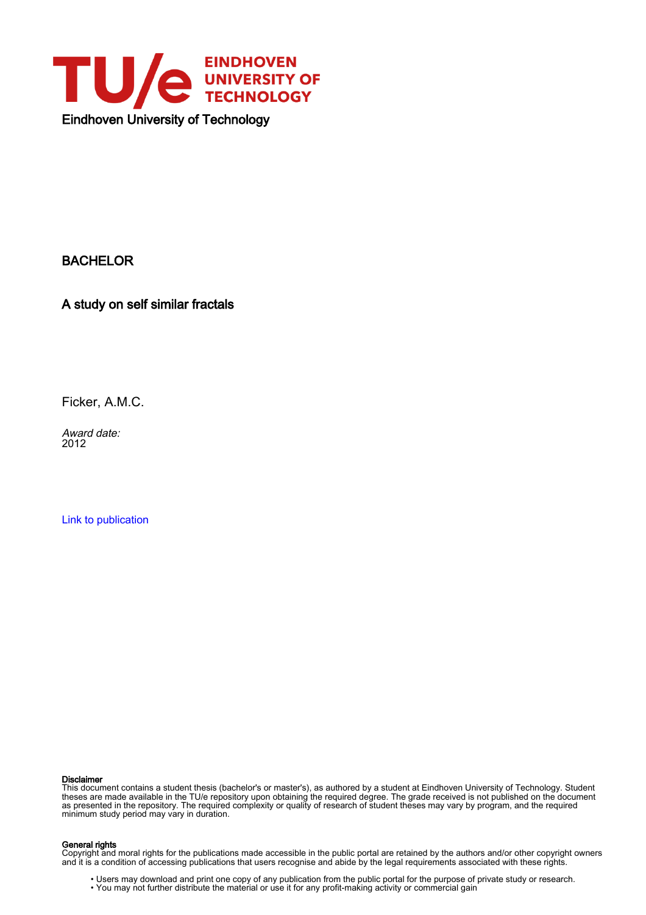

BACHELOR

A study on self similar fractals

Ficker, A.M.C.

Award date: 2012

[Link to publication](https://research.tue.nl/en/studentTheses/36e861c7-5044-4acb-9cee-38aed92779e1)

#### Disclaimer

This document contains a student thesis (bachelor's or master's), as authored by a student at Eindhoven University of Technology. Student theses are made available in the TU/e repository upon obtaining the required degree. The grade received is not published on the document as presented in the repository. The required complexity or quality of research of student theses may vary by program, and the required minimum study period may vary in duration.

#### General rights

Copyright and moral rights for the publications made accessible in the public portal are retained by the authors and/or other copyright owners and it is a condition of accessing publications that users recognise and abide by the legal requirements associated with these rights.

• Users may download and print one copy of any publication from the public portal for the purpose of private study or research.<br>• You may not further distribute the material or use it for any profit-making activity or comm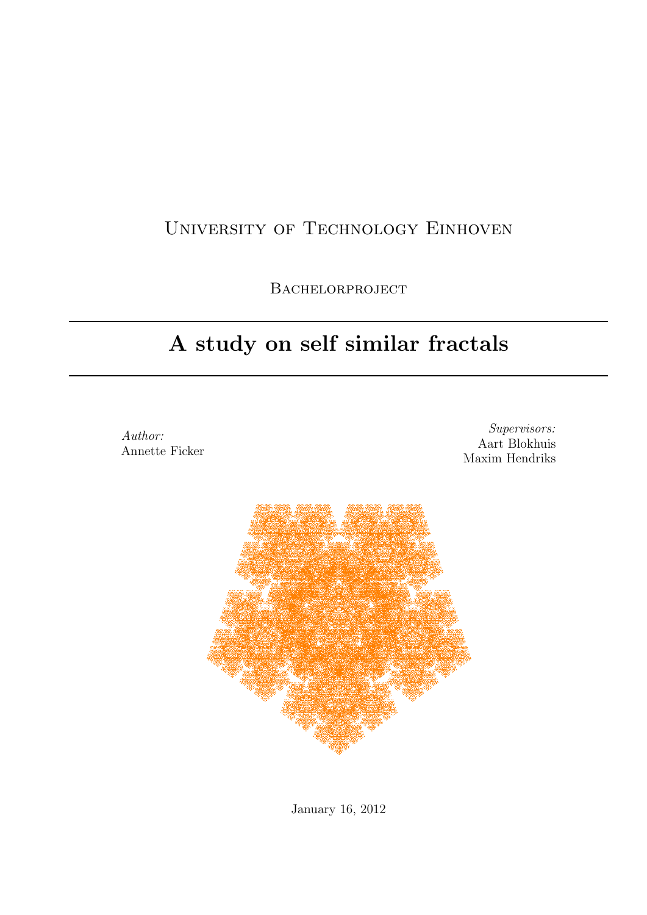## University of Technology Einhoven

BACHELORPROJECT

## A study on self similar fractals

Author: Annette Ficker

Supervisors: Aart Blokhuis Maxim Hendriks



January 16, 2012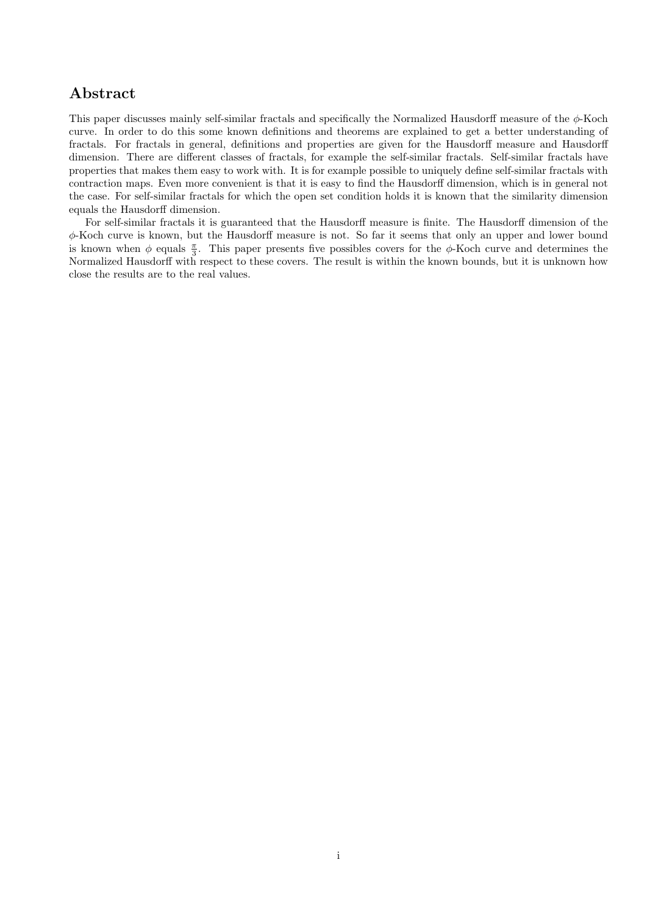## Abstract

This paper discusses mainly self-similar fractals and specifically the Normalized Hausdorff measure of the  $\phi$ -Koch curve. In order to do this some known definitions and theorems are explained to get a better understanding of fractals. For fractals in general, definitions and properties are given for the Hausdorff measure and Hausdorff dimension. There are different classes of fractals, for example the self-similar fractals. Self-similar fractals have properties that makes them easy to work with. It is for example possible to uniquely define self-similar fractals with contraction maps. Even more convenient is that it is easy to find the Hausdorff dimension, which is in general not the case. For self-similar fractals for which the open set condition holds it is known that the similarity dimension equals the Hausdorff dimension.

For self-similar fractals it is guaranteed that the Hausdorff measure is finite. The Hausdorff dimension of the φ-Koch curve is known, but the Hausdorff measure is not. So far it seems that only an upper and lower bound is known when  $\phi$  equals  $\frac{\pi}{3}$ . This paper presents five possibles covers for the  $\phi$ -Koch curve and determines the Normalized Hausdorff with respect to these covers. The result is within the known bounds, but it is unknown how close the results are to the real values.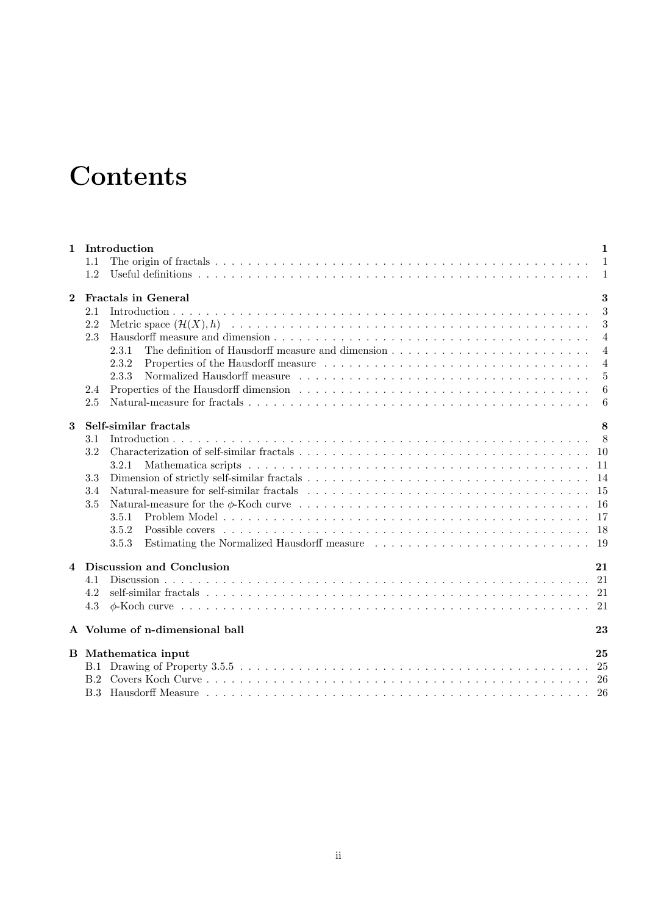# **Contents**

| $\mathbf{1}$ | Introduction                   | $\mathbf{1}$   |
|--------------|--------------------------------|----------------|
|              | 1.1                            |                |
|              | 1.2                            | $\overline{1}$ |
| $\mathbf{2}$ | <b>Fractals in General</b>     | 3              |
|              | 2.1                            | 3              |
|              | 2.2                            | 3              |
|              | 2.3                            | $\overline{4}$ |
|              | 2.3.1                          | $\overline{4}$ |
|              | 2.3.2                          | $\overline{4}$ |
|              | 2.3.3                          | 5              |
|              | 2.4                            | -6             |
|              | 2.5                            | 6              |
| 3            | Self-similar fractals          | 8              |
|              | 3.1                            |                |
|              | 3.2                            |                |
|              | 3.2.1                          |                |
|              | 3.3                            |                |
|              | 3.4                            |                |
|              | 3.5                            |                |
|              | 3.5.1                          |                |
|              | 3.5.2                          |                |
|              | 3.5.3                          |                |
| 4            | Discussion and Conclusion      | 21             |
|              | 4.1                            |                |
|              | 4.2                            |                |
|              | 4.3                            |                |
|              | A Volume of n-dimensional ball | 23             |
|              | <b>B</b> Mathematica input     | 25             |
|              |                                |                |
|              |                                |                |
|              |                                |                |
|              |                                |                |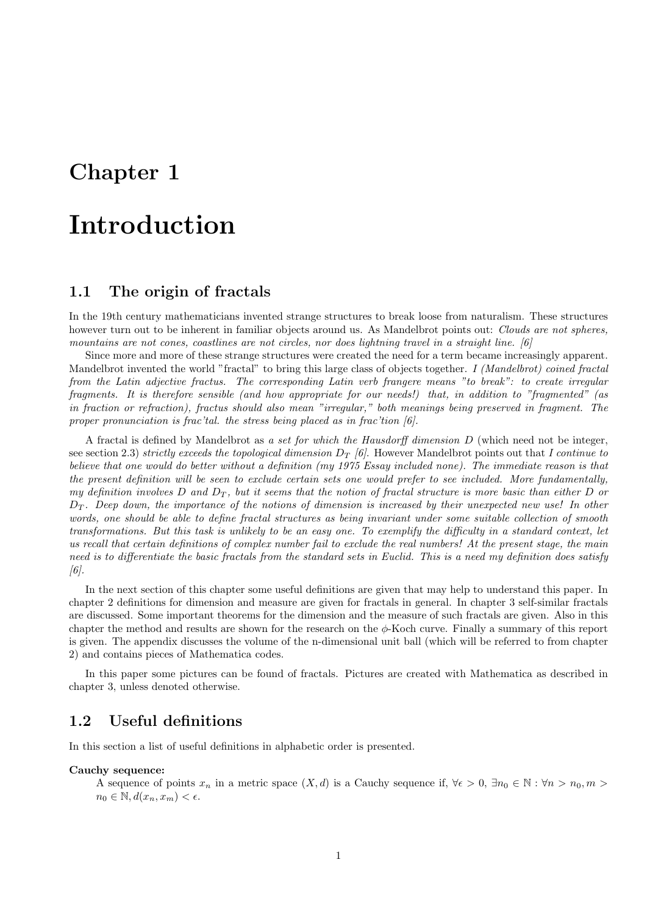## Chapter 1

# Introduction

## 1.1 The origin of fractals

In the 19th century mathematicians invented strange structures to break loose from naturalism. These structures however turn out to be inherent in familiar objects around us. As Mandelbrot points out: Clouds are not spheres, mountains are not cones, coastlines are not circles, nor does lightning travel in a straight line. [6]

Since more and more of these strange structures were created the need for a term became increasingly apparent. Mandelbrot invented the world "fractal" to bring this large class of objects together. I (Mandelbrot) coined fractal from the Latin adjective fractus. The corresponding Latin verb frangere means "to break": to create irregular fragments. It is therefore sensible (and how appropriate for our needs!) that, in addition to "fragmented" (as in fraction or refraction), fractus should also mean "irregular," both meanings being preserved in fragment. The proper pronunciation is frac'tal. the stress being placed as in frac'tion [6].

A fractal is defined by Mandelbrot as a set for which the Hausdorff dimension D (which need not be integer, see section 2.3) strictly exceeds the topological dimension  $D_T$  [6]. However Mandelbrot points out that I continue to believe that one would do better without a definition (my 1975 Essay included none). The immediate reason is that the present definition will be seen to exclude certain sets one would prefer to see included. More fundamentally, my definition involves D and  $D_T$ , but it seems that the notion of fractal structure is more basic than either D or  $D_T$ . Deep down, the importance of the notions of dimension is increased by their unexpected new use! In other words, one should be able to define fractal structures as being invariant under some suitable collection of smooth transformations. But this task is unlikely to be an easy one. To exemplify the difficulty in a standard context, let us recall that certain definitions of complex number fail to exclude the real numbers! At the present stage, the main need is to differentiate the basic fractals from the standard sets in Euclid. This is a need my definition does satisfy [6].

In the next section of this chapter some useful definitions are given that may help to understand this paper. In chapter 2 definitions for dimension and measure are given for fractals in general. In chapter 3 self-similar fractals are discussed. Some important theorems for the dimension and the measure of such fractals are given. Also in this chapter the method and results are shown for the research on the  $\phi$ -Koch curve. Finally a summary of this report is given. The appendix discusses the volume of the n-dimensional unit ball (which will be referred to from chapter 2) and contains pieces of Mathematica codes.

In this paper some pictures can be found of fractals. Pictures are created with Mathematica as described in chapter 3, unless denoted otherwise.

### 1.2 Useful definitions

In this section a list of useful definitions in alphabetic order is presented.

#### Cauchy sequence:

A sequence of points  $x_n$  in a metric space  $(X, d)$  is a Cauchy sequence if,  $\forall \epsilon > 0$ ,  $\exists n_0 \in \mathbb{N} : \forall n > n_0, m >$  $n_0 \in \mathbb{N}, d(x_n, x_m) < \epsilon.$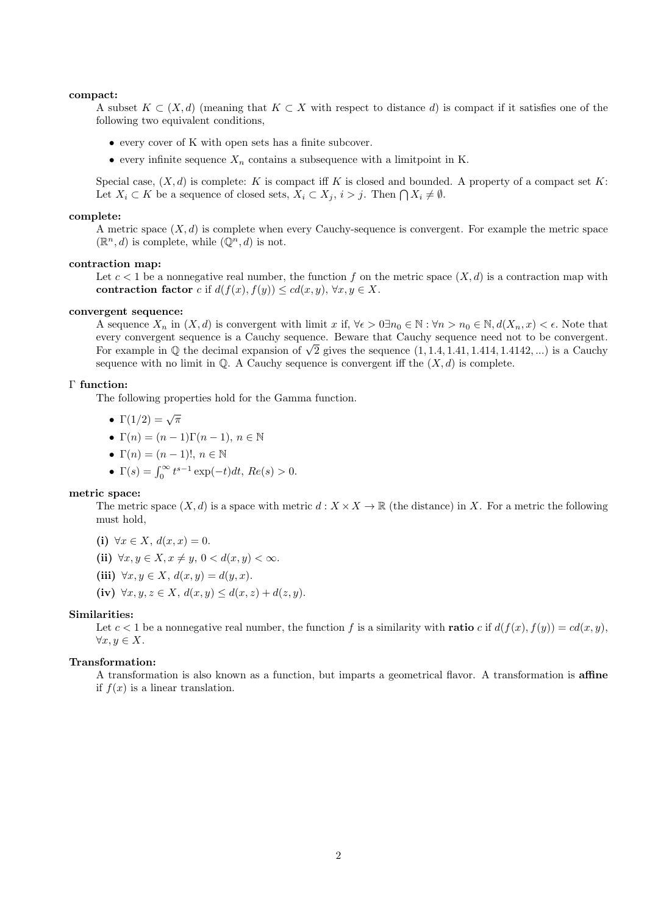#### compact:

A subset  $K \subset (X,d)$  (meaning that  $K \subset X$  with respect to distance d) is compact if it satisfies one of the following two equivalent conditions,

- every cover of K with open sets has a finite subcover.
- every infinite sequence  $X_n$  contains a subsequence with a limitpoint in K.

Special case,  $(X, d)$  is complete: K is compact iff K is closed and bounded. A property of a compact set K: Let  $X_i \subset K$  be a sequence of closed sets,  $X_i \subset X_j$ ,  $i > j$ . Then  $\bigcap X_i \neq \emptyset$ .

#### complete:

A metric space  $(X, d)$  is complete when every Cauchy-sequence is convergent. For example the metric space  $(\mathbb{R}^n, d)$  is complete, while  $(\mathbb{Q}^n, d)$  is not.

#### contraction map:

Let  $c < 1$  be a nonnegative real number, the function f on the metric space  $(X, d)$  is a contraction map with contraction factor c if  $d(f(x), f(y)) \leq cd(x, y), \forall x, y \in X$ .

#### convergent sequence:

A sequence  $X_n$  in  $(X, d)$  is convergent with limit x if,  $\forall \epsilon > 0 \exists n_0 \in \mathbb{N} : \forall n > n_0 \in \mathbb{N}, d(X_n, x) < \epsilon$ . Note that every convergent sequence is a Cauchy sequence. Beware that Cauchy sequence need not to be convergent. every convergent sequence is a Cauchy sequence. Beware that Cauchy sequence need not to be convergent.<br>For example in Q the decimal expansion of  $\sqrt{2}$  gives the sequence  $(1, 1.4, 1.41, 1.414, 1.4142,...)$  is a Cauchy sequence with no limit in  $\mathbb{Q}$ . A Cauchy sequence is convergent iff the  $(X, d)$  is complete.

#### Γ function:

The following properties hold for the Gamma function.

•  $\Gamma(1/2) = \sqrt{\pi}$ 

• 
$$
\Gamma(n) = (n-1)\Gamma(n-1), n \in \mathbb{N}
$$

- $\Gamma(n) = (n-1)!, n \in \mathbb{N}$
- $\Gamma(s) = \int_0^\infty t^{s-1} \exp(-t) dt$ ,  $Re(s) > 0$ .

#### metric space:

The metric space  $(X, d)$  is a space with metric  $d : X \times X \to \mathbb{R}$  (the distance) in X. For a metric the following must hold,

- (i)  $\forall x \in X, d(x, x) = 0.$
- (ii)  $\forall x, y \in X, x \neq y, 0 < d(x, y) < \infty$ .
- (iii)  $\forall x, y \in X, d(x, y) = d(y, x).$
- (iv)  $\forall x, y, z \in X, d(x, y) \leq d(x, z) + d(z, y).$

#### Similarities:

Let  $c < 1$  be a nonnegative real number, the function f is a similarity with **ratio** c if  $d(f(x), f(y)) = cd(x, y)$ ,  $\forall x, y \in X.$ 

#### Transformation:

A transformation is also known as a function, but imparts a geometrical flavor. A transformation is affine if  $f(x)$  is a linear translation.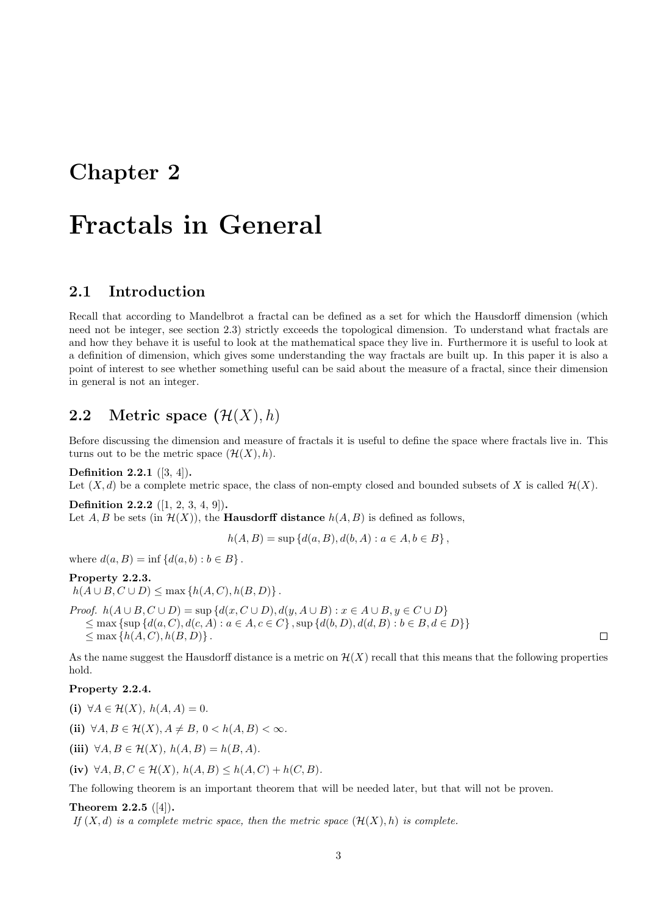## Chapter 2

# Fractals in General

## 2.1 Introduction

Recall that according to Mandelbrot a fractal can be defined as a set for which the Hausdorff dimension (which need not be integer, see section 2.3) strictly exceeds the topological dimension. To understand what fractals are and how they behave it is useful to look at the mathematical space they live in. Furthermore it is useful to look at a definition of dimension, which gives some understanding the way fractals are built up. In this paper it is also a point of interest to see whether something useful can be said about the measure of a fractal, since their dimension in general is not an integer.

## 2.2 Metric space  $(\mathcal{H}(X), h)$

Before discussing the dimension and measure of fractals it is useful to define the space where fractals live in. This turns out to be the metric space  $(\mathcal{H}(X), h)$ .

Definition 2.2.1 ([3, 4]).

Let  $(X, d)$  be a complete metric space, the class of non-empty closed and bounded subsets of X is called  $\mathcal{H}(X)$ .

Definition 2.2.2 ([1, 2, 3, 4, 9]). Let A, B be sets (in  $\mathcal{H}(X)$ ), the **Hausdorff distance**  $h(A, B)$  is defined as follows,

 $h(A, B) = \sup \{d(a, B), d(b, A) : a \in A, b \in B\},\$ 

where  $d(a, B) = \inf \{d(a, b) : b \in B\}$ .

#### Property 2.2.3.

 $h(A \cup B, C \cup D) \le \max \{h(A, C), h(B, D)\}.$ 

Proof.  $h(A \cup B, C \cup D) = \sup \{d(x, C \cup D), d(y, A \cup B) : x \in A \cup B, y \in C \cup D\}$  $\leq$  max {sup { $d(a, C), d(c, A): a \in A, c \in C$ }, sup { $d(b, D), d(d, B): b \in B, d \in D$ }}  $\leq$  max  $\{h(A, C), h(B, D)\}\.$ 

As the name suggest the Hausdorff distance is a metric on  $\mathcal{H}(X)$  recall that this means that the following properties hold.

#### Property 2.2.4.

(i)  $\forall A \in \mathcal{H}(X)$ ,  $h(A, A) = 0$ .

(ii)  $\forall A, B \in \mathcal{H}(X), A \neq B, 0 < h(A, B) < \infty.$ 

(iii)  $\forall A, B \in \mathcal{H}(X), h(A, B) = h(B, A).$ 

(iv)  $\forall A, B, C \in \mathcal{H}(X), h(A, B) \leq h(A, C) + h(C, B).$ 

The following theorem is an important theorem that will be needed later, but that will not be proven.

#### Theorem 2.2.5 ([4]).

If  $(X, d)$  is a complete metric space, then the metric space  $(\mathcal{H}(X), h)$  is complete.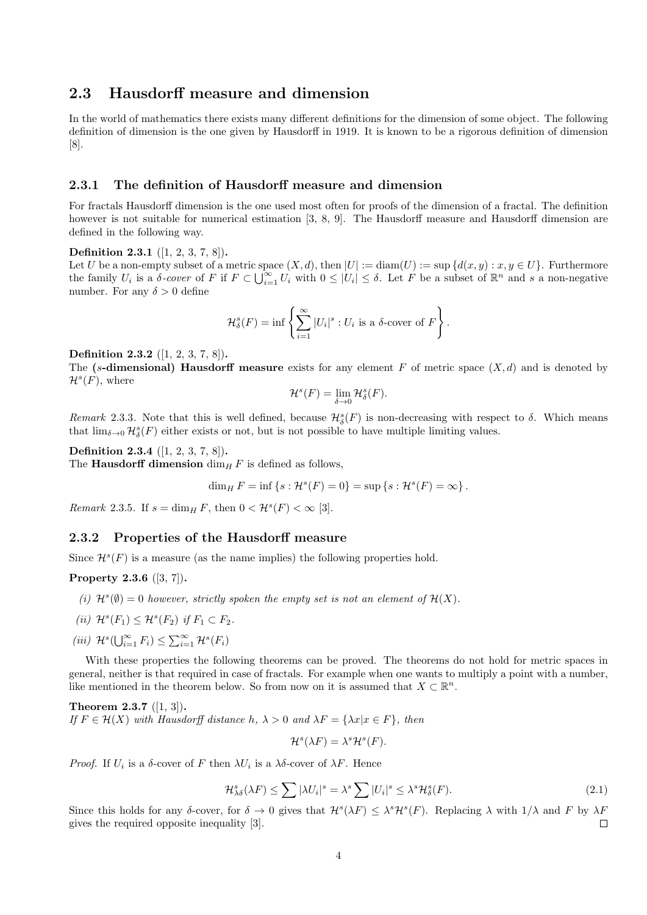## 2.3 Hausdorff measure and dimension

In the world of mathematics there exists many different definitions for the dimension of some object. The following definition of dimension is the one given by Hausdorff in 1919. It is known to be a rigorous definition of dimension  $|8|$ .

#### 2.3.1 The definition of Hausdorff measure and dimension

For fractals Hausdorff dimension is the one used most often for proofs of the dimension of a fractal. The definition however is not suitable for numerical estimation [3, 8, 9]. The Hausdorff measure and Hausdorff dimension are defined in the following way.

#### Definition 2.3.1 ([1, 2, 3, 7, 8]).

Let U be a non-empty subset of a metric space  $(X, d)$ , then  $|U| := \text{diam}(U) := \sup \{d(x, y) : x, y \in U\}$ . Furthermore the family  $U_i$  is a  $\delta$ -cover of F if  $F \subset \bigcup_{i=1}^{\infty} U_i$  with  $0 \leq |U_i| \leq \delta$ . Let F be a subset of  $\mathbb{R}^n$  and s a non-negative number. For any  $\delta > 0$  define

$$
\mathcal{H}^s_\delta(F) = \inf \left\{ \sum_{i=1}^\infty |U_i|^s : U_i \text{ is a } \delta\text{-cover of } F \right\}.
$$

#### Definition 2.3.2 ([1, 2, 3, 7, 8]).

The (s-dimensional) Hausdorff measure exists for any element F of metric space  $(X, d)$  and is denoted by  $\mathcal{H}^s(F)$ , where

$$
\mathcal{H}^s(F) = \lim_{\delta \to 0} \mathcal{H}^s_{\delta}(F).
$$

Remark 2.3.3. Note that this is well defined, because  $\mathcal{H}^s_\delta(F)$  is non-decreasing with respect to  $\delta$ . Which means that  $\lim_{\delta \to 0} \mathcal{H}^s_{\delta}(F)$  either exists or not, but is not possible to have multiple limiting values.

#### Definition 2.3.4 ([1, 2, 3, 7, 8]).

The **Hausdorff dimension** dim<sub>H</sub> F is defined as follows,

$$
\dim_H F = \inf \{ s : \mathcal{H}^s(F) = 0 \} = \sup \{ s : \mathcal{H}^s(F) = \infty \}.
$$

Remark 2.3.5. If  $s = \dim_H F$ , then  $0 < H^s(F) < \infty$  [3].

#### 2.3.2 Properties of the Hausdorff measure

Since  $\mathcal{H}^s(F)$  is a measure (as the name implies) the following properties hold.

Property 2.3.6 ([3, 7]).

- (i)  $\mathcal{H}^s(\emptyset) = 0$  however, strictly spoken the empty set is not an element of  $\mathcal{H}(X)$ .
- (ii)  $\mathcal{H}^s(F_1) \leq \mathcal{H}^s(F_2)$  if  $F_1 \subset F_2$ .
- (iii)  $\mathcal{H}^s(\bigcup_{i=1}^{\infty} F_i) \leq \sum_{i=1}^{\infty} \mathcal{H}^s(F_i)$

With these properties the following theorems can be proved. The theorems do not hold for metric spaces in general, neither is that required in case of fractals. For example when one wants to multiply a point with a number, like mentioned in the theorem below. So from now on it is assumed that  $X \subset \mathbb{R}^n$ .

Theorem 2.3.7 ([1, 3]). If  $F \in \mathcal{H}(X)$  with Hausdorff distance h,  $\lambda > 0$  and  $\lambda F = \{\lambda x | x \in F\}$ , then

 $\mathcal{H}^s(\lambda F) = \lambda^s \mathcal{H}^s(F).$ 

*Proof.* If  $U_i$  is a  $\delta$ -cover of F then  $\lambda U_i$  is a  $\lambda \delta$ -cover of  $\lambda F$ . Hence

$$
\mathcal{H}_{\lambda\delta}^{s}(\lambda F) \leq \sum |\lambda U_{i}|^{s} = \lambda^{s} \sum |U_{i}|^{s} \leq \lambda^{s} \mathcal{H}_{\delta}^{s}(F). \tag{2.1}
$$

Since this holds for any δ-cover, for  $\delta \to 0$  gives that  $\mathcal{H}^s(\lambda F) \leq \lambda^s \mathcal{H}^s(F)$ . Replacing  $\lambda$  with  $1/\lambda$  and F by  $\lambda F$ gives the required opposite inequality [3].  $\Box$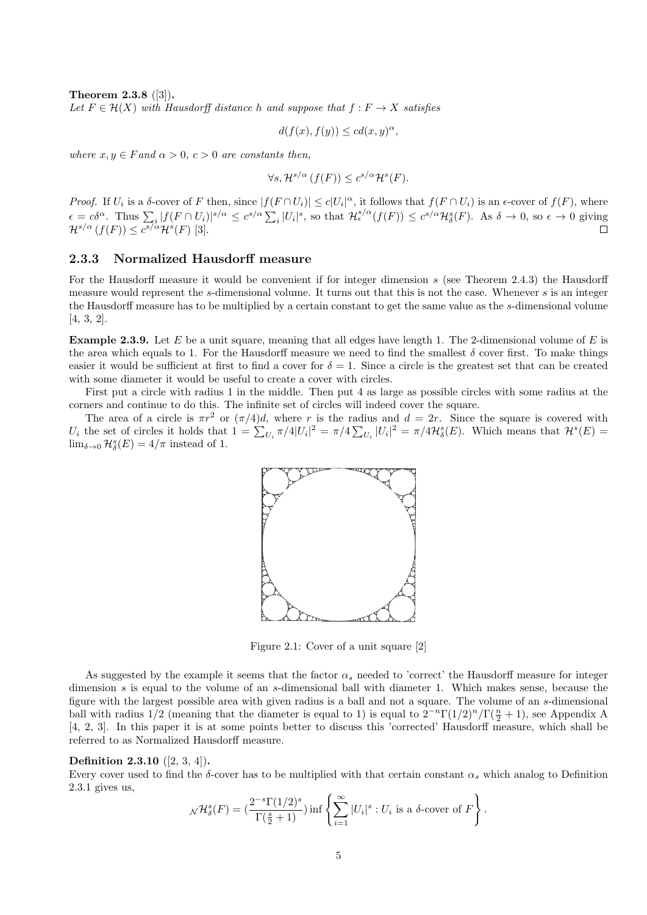Theorem 2.3.8 ([3]).

Let  $F \in \mathcal{H}(X)$  with Hausdorff distance h and suppose that  $f : F \to X$  satisfies

$$
d(f(x), f(y)) \le c d(x, y)^{\alpha},
$$

where  $x, y \in F$  and  $\alpha > 0$ ,  $c > 0$  are constants then,

$$
\forall s, \mathcal{H}^{s/\alpha} \left( f(F) \right) \leq c^{s/\alpha} \mathcal{H}^s(F).
$$

*Proof.* If  $U_i$  is a  $\delta$ -cover of F then, since  $|f(F \cap U_i)| \leq c|U_i|^{\alpha}$ , it follows that  $f(F \cap U_i)$  is an  $\epsilon$ -cover of  $f(F)$ , where  $\epsilon = c\delta^{\alpha}$ . Thus  $\sum_{i} |f(F \cap U_{i})|^{s/\alpha} \leq c^{s/\alpha} \sum_{i} |U_{i}|^{s}$ , so that  $\mathcal{H}_{\epsilon}^{s/\alpha}(f(F)) \leq c^{s/\alpha} \mathcal{H}_{\delta}^{s}(F)$ . As  $\delta \to 0$ , so  $\epsilon \to 0$  giving  $\mathcal{H}^{s/\alpha}(f(F)) \leq c^{s/\alpha} \mathcal{H}^s(F)$  [3].  $\Box$ 

#### 2.3.3 Normalized Hausdorff measure

For the Hausdorff measure it would be convenient if for integer dimension s (see Theorem 2.4.3) the Hausdorff measure would represent the s-dimensional volume. It turns out that this is not the case. Whenever s is an integer the Hausdorff measure has to be multiplied by a certain constant to get the same value as the s-dimensional volume [4, 3, 2].

**Example 2.3.9.** Let E be a unit square, meaning that all edges have length 1. The 2-dimensional volume of E is the area which equals to 1. For the Hausdorff measure we need to find the smallest  $\delta$  cover first. To make things easier it would be sufficient at first to find a cover for  $\delta = 1$ . Since a circle is the greatest set that can be created with some diameter it would be useful to create a cover with circles.

First put a circle with radius 1 in the middle. Then put 4 as large as possible circles with some radius at the corners and continue to do this. The infinite set of circles will indeed cover the square.

The area of a circle is  $\pi r^2$  or  $(\pi/4)d$ , where r is the radius and  $d = 2r$ . Since the square is covered with  $U_i$  the set of circles it holds that  $1 = \sum_{U_i} \pi/4|U_i|^2 = \pi/4 \sum_{U_i} |U_i|^2 = \pi/4\mathcal{H}_{\delta}^s(E)$ . Which means that  $\mathcal{H}^s(E)$  $\lim_{\delta \to 0} \mathcal{H}_{\delta}^s(E) = 4/\pi$  instead of 1.



Figure 2.1: Cover of a unit square [2]

As suggested by the example it seems that the factor  $\alpha_s$  needed to 'correct' the Hausdorff measure for integer dimension s is equal to the volume of an s-dimensional ball with diameter 1. Which makes sense, because the figure with the largest possible area with given radius is a ball and not a square. The volume of an s-dimensional ball with radius 1/2 (meaning that the diameter is equal to 1) is equal to  $2^{-n}\Gamma(1/2)^n/\Gamma(\frac{n}{2}+1)$ , see Appendix A [4, 2, 3]. In this paper it is at some points better to discuss this 'corrected' Hausdorff measure, which shall be referred to as Normalized Hausdorff measure.

#### Definition 2.3.10 ([2, 3, 4]).

Every cover used to find the  $\delta$ -cover has to be multiplied with that certain constant  $\alpha_s$  which analog to Definition 2.3.1 gives us,

$$
\mathcal{N}\mathcal{H}_{\delta}^{s}(F)=(\frac{2^{-s}\Gamma(1/2)^{s}}{\Gamma(\frac{s}{2}+1)})\inf\left\{\sum_{i=1}^{\infty}|U_{i}|^{s}:U_{i} \text{ is a }\delta\text{-cover of }F\right\}.
$$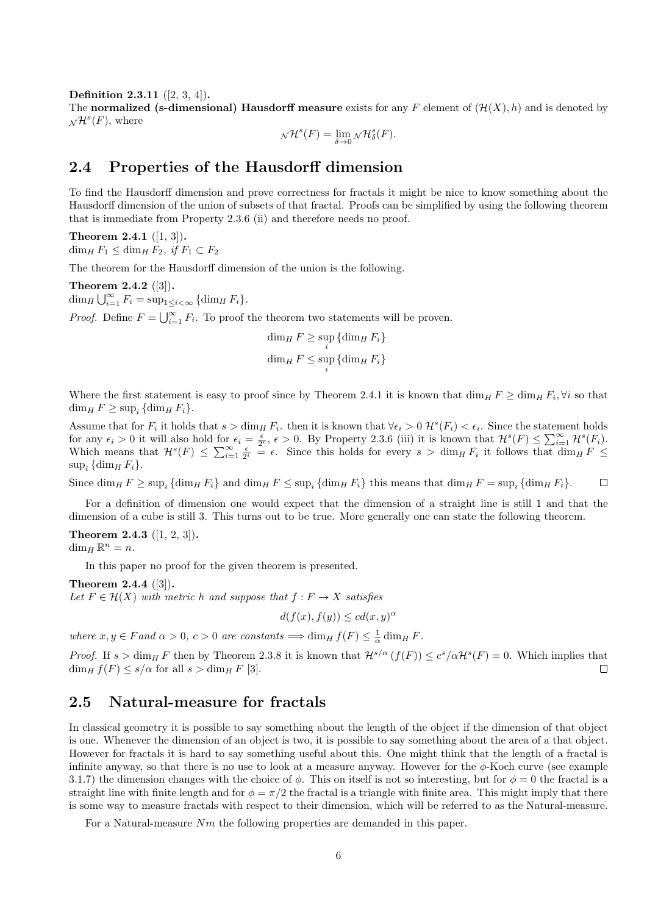Definition 2.3.11 ([2, 3, 4]).

The normalized (s-dimensional) Hausdorff measure exists for any F element of  $(\mathcal{H}(X), h)$  and is denoted by  $\mathcal{N}^{\mathcal{H}^s}(F)$ , where

$$
\mathcal{N}^{\mathcal{H}^s}(F) = \lim_{\delta \to 0} \mathcal{N}^{\mathcal{H}^s}_{\delta}(F).
$$

### 2.4 Properties of the Hausdorff dimension

To find the Hausdorff dimension and prove correctness for fractals it might be nice to know something about the Hausdorff dimension of the union of subsets of that fractal. Proofs can be simplified by using the following theorem that is immediate from Property 2.3.6 (ii) and therefore needs no proof.

Theorem 2.4.1  $([1, 3])$ .  $\dim_H F_1 \leq \dim_H F_2$ , if  $F_1 \subset F_2$ 

The theorem for the Hausdorff dimension of the union is the following.

Theorem 2.4.2 ([3]).  $\dim_H \bigcup_{i=1}^{\infty} F_i = \sup_{1 \leq i < \infty} {\dim_H F_i}.$ 

*Proof.* Define  $F = \bigcup_{i=1}^{\infty} F_i$ . To proof the theorem two statements will be proven.

 $\dim_H F \geq \sup_i {\dim_H F_i}$  $\dim_H F \leq \sup_i {\dim_H F_i}$ 

Where the first statement is easy to proof since by Theorem 2.4.1 it is known that  $\dim_H F \ge \dim_H F_i$ ,  $\forall i$  so that  $\dim_H F \geq \sup_i {\dim_H F_i}.$ 

Assume that for  $F_i$  it holds that  $s > \dim_H F_i$ , then it is known that  $\forall \epsilon_i > 0$   $\mathcal{H}^s(F_i) < \epsilon_i$ . Since the statement holds for any  $\epsilon_i > 0$  it will also hold for  $\epsilon_i = \frac{\epsilon}{2^i}$ ,  $\epsilon > 0$ . By Property 2.3.6 (iii) it is known that  $\mathcal{H}^s(F) \leq \sum_{i=1}^{\infty} \mathcal{H}^s(F_i)$ . Which means that  $\mathcal{H}^s(F) \leq \sum_{i=1}^{\infty} \frac{\epsilon}{2^i} = \epsilon$ . Since this holds for every  $s > \dim_H F_i$  it follows that  $\dim_H F \leq$  $\sup_i \{\dim_H F_i\}.$ 

Since  $\dim_H F \ge \sup_i {\dim_H F_i}$  and  $\dim_H F \le \sup_i {\dim_H F_i}$  this means that  $\dim_H F = \sup_i {\dim_H F_i}$ .  $\Box$ 

For a definition of dimension one would expect that the dimension of a straight line is still 1 and that the dimension of a cube is still 3. This turns out to be true. More generally one can state the following theorem.

Theorem 2.4.3  $([1, 2, 3])$ .

 $\dim_H \mathbb{R}^n = n.$ 

In this paper no proof for the given theorem is presented.

Theorem 2.4.4 ([3]). Let  $F \in \mathcal{H}(X)$  with metric h and suppose that  $f : F \to X$  satisfies

 $d(f(x), f(y)) \leq c d(x, y)^{\alpha}$ 

where  $x, y \in F$  and  $\alpha > 0$ ,  $c > 0$  are constants  $\implies \dim_H f(F) \leq \frac{1}{\alpha} \dim_H F$ .

*Proof.* If  $s > \dim_H F$  then by Theorem 2.3.8 it is known that  $\mathcal{H}^{s/\alpha}(f(F)) \leq c^s/\alpha \mathcal{H}^s(F) = 0$ . Which implies that  $\dim_H f(F) \leq s/\alpha$  for all  $s > \dim_H F$  [3].  $\Box$ 

### 2.5 Natural-measure for fractals

In classical geometry it is possible to say something about the length of the object if the dimension of that object is one. Whenever the dimension of an object is two, it is possible to say something about the area of a that object. However for fractals it is hard to say something useful about this. One might think that the length of a fractal is infinite anyway, so that there is no use to look at a measure anyway. However for the  $\phi$ -Koch curve (see example 3.1.7) the dimension changes with the choice of  $\phi$ . This on itself is not so interesting, but for  $\phi = 0$  the fractal is a straight line with finite length and for  $\phi = \pi/2$  the fractal is a triangle with finite area. This might imply that there is some way to measure fractals with respect to their dimension, which will be referred to as the Natural-measure.

For a Natural-measure  $Nm$  the following properties are demanded in this paper.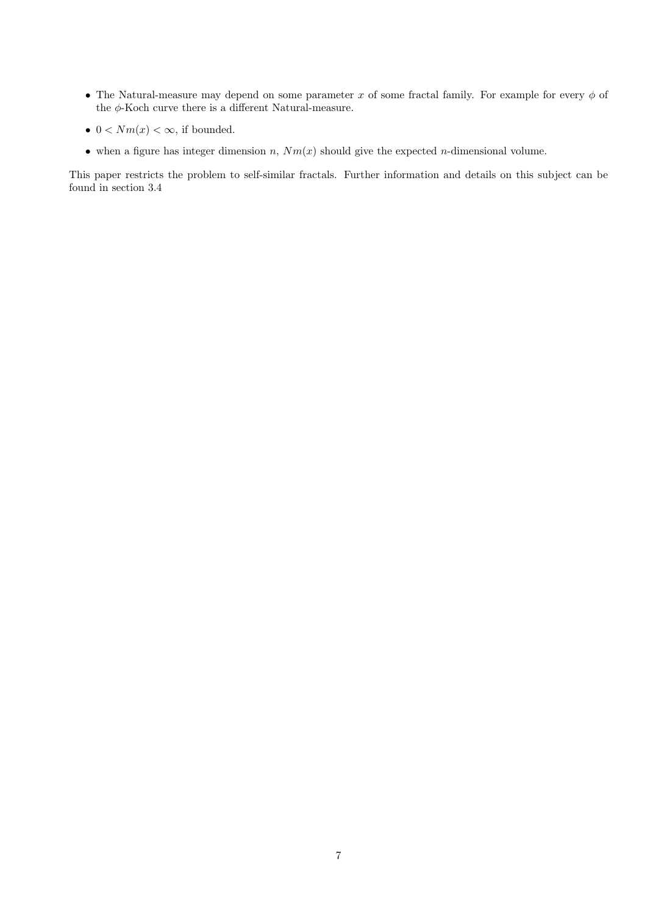- The Natural-measure may depend on some parameter x of some fractal family. For example for every  $\phi$  of the  $\phi\text{-Koch}$  curve there is a different Natural-measure.
- $0 < Nm(x) < \infty$ , if bounded.
- when a figure has integer dimension n,  $Nm(x)$  should give the expected n-dimensional volume.

This paper restricts the problem to self-similar fractals. Further information and details on this subject can be found in section 3.4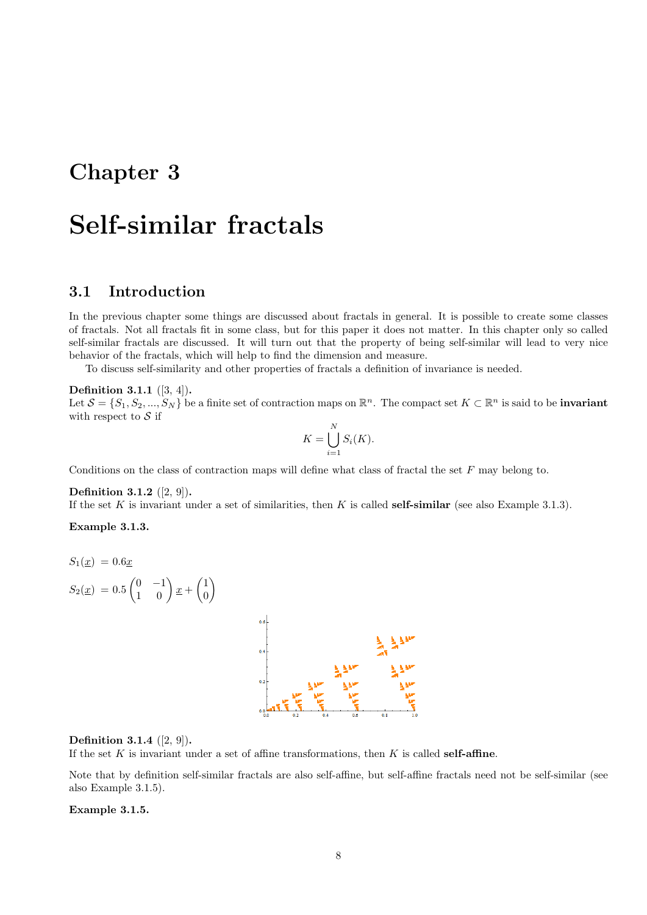## Chapter 3

# Self-similar fractals

## 3.1 Introduction

In the previous chapter some things are discussed about fractals in general. It is possible to create some classes of fractals. Not all fractals fit in some class, but for this paper it does not matter. In this chapter only so called self-similar fractals are discussed. It will turn out that the property of being self-similar will lead to very nice behavior of the fractals, which will help to find the dimension and measure.

To discuss self-similarity and other properties of fractals a definition of invariance is needed.

#### Definition 3.1.1 ([3, 4]).

Let  $\mathcal{S} = \{S_1, S_2, ..., S_N\}$  be a finite set of contraction maps on  $\mathbb{R}^n$ . The compact set  $K \subset \mathbb{R}^n$  is said to be **invariant** with respect to  $S$  if

$$
K = \bigcup_{i=1}^{N} S_i(K).
$$

Conditions on the class of contraction maps will define what class of fractal the set  $F$  may belong to.

#### Definition 3.1.2 ([2, 9]).

If the set  $K$  is invariant under a set of similarities, then  $K$  is called self-similar (see also Example 3.1.3).

#### Example 3.1.3.





#### **Definition 3.1.4**  $([2, 9])$ .

If the set  $K$  is invariant under a set of affine transformations, then  $K$  is called self-affine.

Note that by definition self-similar fractals are also self-affine, but self-affine fractals need not be self-similar (see also Example 3.1.5).

#### Example 3.1.5.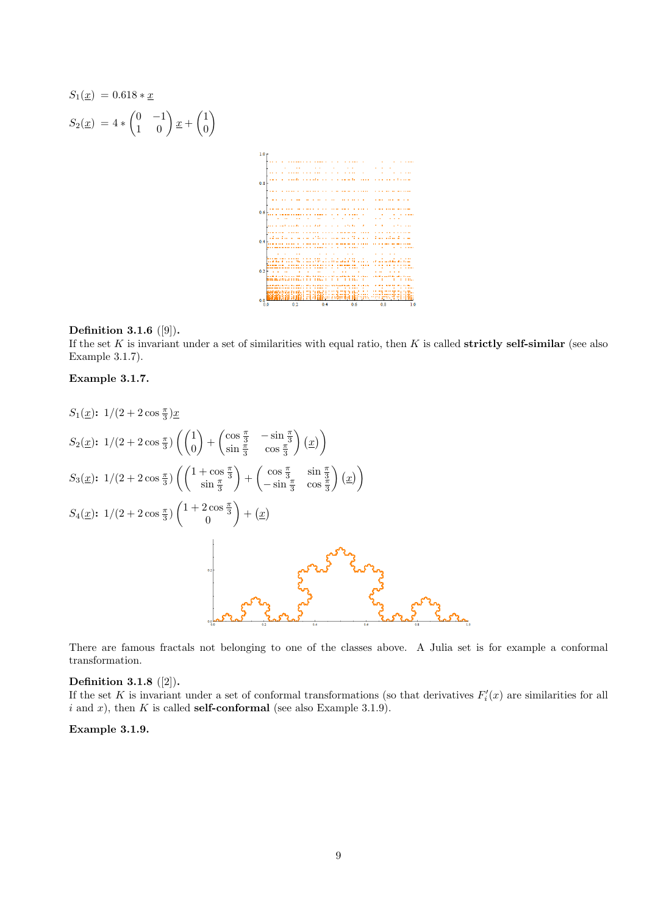$$
S_1(\underline{x}) = 0.618 * \underline{x}
$$
\n
$$
S_2(\underline{x}) = 4 * \begin{pmatrix} 0 & -1 \\ 1 & 0 \end{pmatrix} \underline{x} + \begin{pmatrix} 1 \\ 0 \end{pmatrix}
$$

#### Definition 3.1.6 ([9]).

If the set  $K$  is invariant under a set of similarities with equal ratio, then  $K$  is called strictly self-similar (see also Example 3.1.7).

#### Example 3.1.7.

$$
S_{1}(\underline{x}) : 1/(2 + 2 \cos \frac{\pi}{3}) \underline{x}
$$
  
\n
$$
S_{2}(\underline{x}) : 1/(2 + 2 \cos \frac{\pi}{3}) \left( \binom{1}{0} + \binom{\cos \frac{\pi}{3}}{\sin \frac{\pi}{3}} - \frac{\sin \frac{\pi}{3}}{\cos \frac{\pi}{3}} \right) (\underline{x})
$$
  
\n
$$
S_{3}(\underline{x}) : 1/(2 + 2 \cos \frac{\pi}{3}) \left( \binom{1 + \cos \frac{\pi}{3}}{\sin \frac{\pi}{3}} + \binom{\cos \frac{\pi}{3}}{-\sin \frac{\pi}{3}} \cos \frac{\pi}{3} \right) (\underline{x}) \right)
$$
  
\n
$$
S_{4}(\underline{x}) : 1/(2 + 2 \cos \frac{\pi}{3}) \left( \binom{1 + 2 \cos \frac{\pi}{3}}{0} + (\underline{x}) \right)
$$

There are famous fractals not belonging to one of the classes above. A Julia set is for example a conformal transformation.

#### Definition 3.1.8 ([2]).

If the set K is invariant under a set of conformal transformations (so that derivatives  $F_i'(x)$  are similarities for all i and x), then K is called **self-conformal** (see also Example 3.1.9).

#### Example 3.1.9.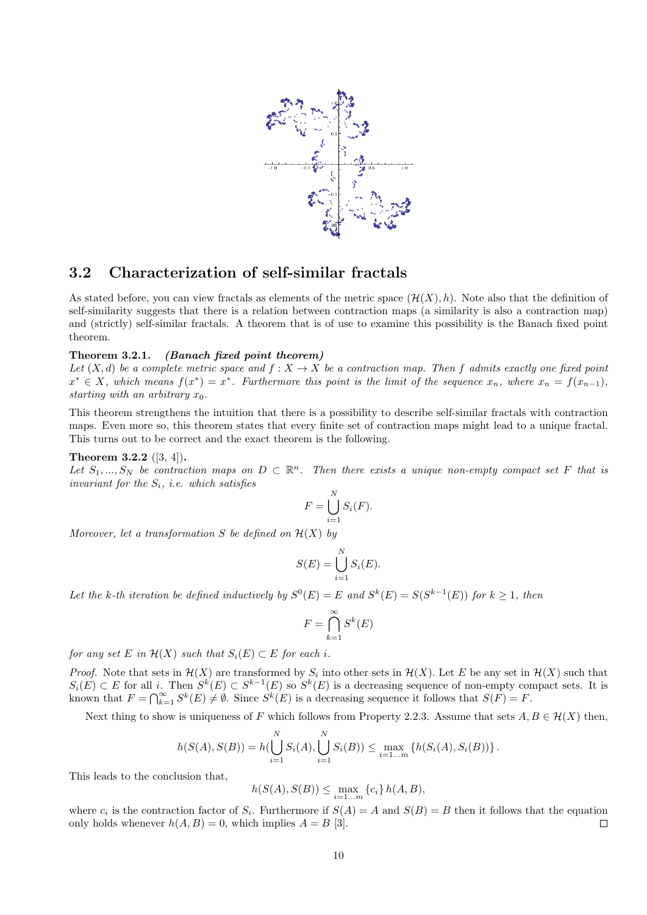

### 3.2 Characterization of self-similar fractals

As stated before, you can view fractals as elements of the metric space  $(\mathcal{H}(X), h)$ . Note also that the definition of self-similarity suggests that there is a relation between contraction maps (a similarity is also a contraction map) and (strictly) self-similar fractals. A theorem that is of use to examine this possibility is the Banach fixed point theorem.

#### Theorem 3.2.1. (Banach fixed point theorem)

Let  $(X, d)$  be a complete metric space and  $f : X \to X$  be a contraction map. Then f admits exactly one fixed point  $x^* \in X$ , which means  $f(x^*) = x^*$ . Furthermore this point is the limit of the sequence  $x_n$ , where  $x_n = f(x_{n-1})$ , starting with an arbitrary  $x_0$ .

This theorem strengthens the intuition that there is a possibility to describe self-similar fractals with contraction maps. Even more so, this theorem states that every finite set of contraction maps might lead to a unique fractal. This turns out to be correct and the exact theorem is the following.

#### **Theorem 3.2.2**  $([3, 4])$ .

Let  $S_1, ..., S_N$  be contraction maps on  $D \subset \mathbb{R}^n$ . Then there exists a unique non-empty compact set F that is invariant for the  $S_i$ , i.e. which satisfies

$$
F = \bigcup_{i=1}^{N} S_i(F).
$$

Moreover, let a transformation S be defined on  $\mathcal{H}(X)$  by

$$
S(E) = \bigcup_{i=1}^{N} S_i(E).
$$

Let the k-th iteration be defined inductively by  $S^0(E) = E$  and  $S^k(E) = S(S^{k-1}(E))$  for  $k \ge 1$ , then

$$
F = \bigcap_{k=1}^{\infty} S^k(E)
$$

for any set E in  $\mathcal{H}(X)$  such that  $S_i(E) \subset E$  for each i.

*Proof.* Note that sets in  $\mathcal{H}(X)$  are transformed by  $S_i$  into other sets in  $\mathcal{H}(X)$ . Let E be any set in  $\mathcal{H}(X)$  such that  $S_i(E) \subset E$  for all i. Then  $S^k(E) \subset S^{k-1}(E)$  so  $S^k(E)$  is a decreasing sequence of non-empty compact sets. It is known that  $F = \bigcap_{k=1}^{\infty} S^k(E) \neq \emptyset$ . Since  $S^k(E)$  is a decreasing sequence it follows that  $S(F) = F$ .

Next thing to show is uniqueness of F which follows from Property 2.2.3. Assume that sets  $A, B \in H(X)$  then,

$$
h(S(A),S(B)) = h(\bigcup_{i=1}^{N} S_i(A), \bigcup_{i=1}^{N} S_i(B)) \leq \max_{i=1...m} \{h(S_i(A),S_i(B))\}.
$$

This leads to the conclusion that,

$$
h(S(A), S(B)) \le \max_{i=1...m} \{c_i\} h(A, B),
$$

where  $c_i$  is the contraction factor of  $S_i$ . Furthermore if  $S(A) = A$  and  $S(B) = B$  then it follows that the equation only holds whenever  $h(A, B) = 0$ , which implies  $A = B$  [3].  $\Box$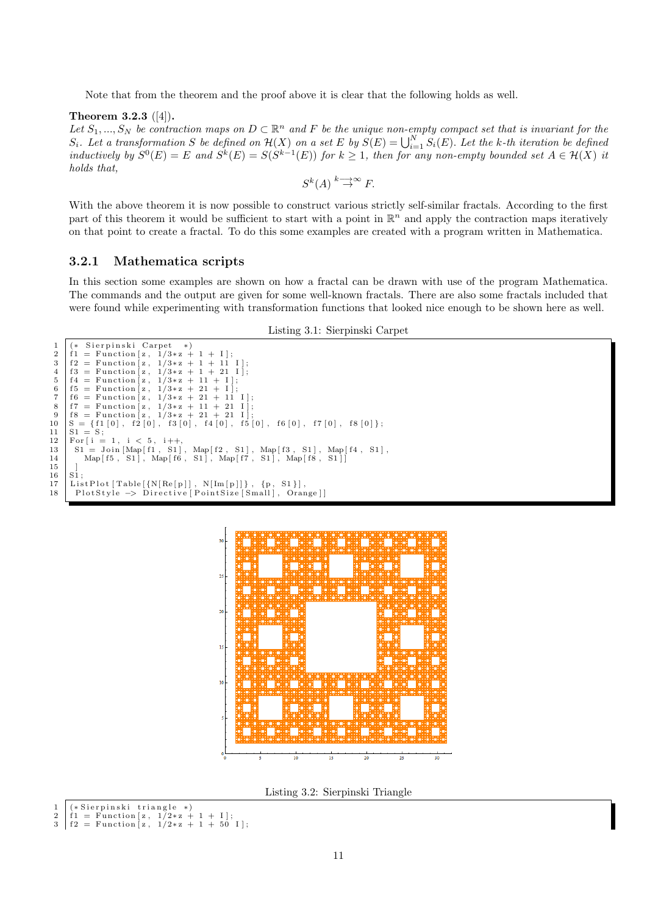Note that from the theorem and the proof above it is clear that the following holds as well.

#### Theorem 3.2.3 ([4]).

Let  $S_1, ..., S_N$  be contraction maps on  $D \subset \mathbb{R}^n$  and F be the unique non-empty compact set that is invariant for the  $S_i$ . Let a transformation S be defined on  $\mathcal{H}(X)$  on a set E by  $S(E) = \bigcup_{i=1}^N S_i(E)$ . Let the k-th iteration be defined inductively by  $S^0(E) = E$  and  $S^k(E) = S(S^{k-1}(E))$  for  $k \ge 1$ , then for any non-empty bounded set  $A \in \mathcal{H}(X)$  it holds that,

$$
S^k(A) \stackrel{k \longrightarrow \infty}{\to} F.
$$

With the above theorem it is now possible to construct various strictly self-similar fractals. According to the first part of this theorem it would be sufficient to start with a point in  $\mathbb{R}^n$  and apply the contraction maps iteratively on that point to create a fractal. To do this some examples are created with a program written in Mathematica.

#### 3.2.1 Mathematica scripts

In this section some examples are shown on how a fractal can be drawn with use of the program Mathematica. The commands and the output are given for some well-known fractals. There are also some fractals included that were found while experimenting with transformation functions that looked nice enough to be shown here as well.

Listing 3.1: Sierpinski Carpet

```
1 (* Sierpinski Carpet<br>2 f1 = Function [z, 1/3*z
  2 \int_{1}^{2} f = \text{Function} [z, 1/3*z+1+1];<br>3 f2 = \text{Function} [z, 1/3*z+1+11]3 f 2 = Fun ct ion [ z , 1/3∗ z + 1 + 11 I ] ;
  4 \begin{bmatrix} 6 & 1 & 3 \ 1 & 1 & 2 \end{bmatrix}<br>
5 \begin{bmatrix} 6 & 1 & 4 \ 1 & 1 & 1 \end{bmatrix}<br>
6 \begin{bmatrix} 6 & 5 \end{bmatrix}<br>
6 \begin{bmatrix} 6 & 1 & 4 \end{bmatrix}<br>
6 \begin{bmatrix} 6 & 1 & 4 \end{bmatrix}<br>
6 \begin{bmatrix} 6 & 1 & 4 \end{bmatrix}<br>
6 \begin{bmatrix} 6 & 1 & 4 \end{bmatrix}<br>
6 \begin{bmatrix} 6 & 1 & 4 \end{bmatrix}<br>
6 \begin{b= Function [z, 1/3*z+11<br>= Function [z, 1/3*z+216 f5 = Function [z, 1/3*z+21+1];<br>7 f6 = Function [z, 1/3*z+21+11]7 f_6 = Function \begin{bmatrix} z \\ 1 \end{bmatrix}, f_7 = Function \begin{bmatrix} z \\ 1 \end{bmatrix}, f_7 = Function \begin{bmatrix} z \\ 1 \end{bmatrix}, f_7 = f_7 = f_7 = f_8 = f_9 = f_9 = f_9 = f_9 = f_9 = f_9 = f_1 = f_1 = f_2 = f_3 = f_4 = f_7 =f7 = Function [z, 1/3*z + 11 + 21 I];<br>f8 = Function [z, 1/3*z + 21 + 21 I];9 f8 = Function [z, 1/3*z + 21 + 21]<br>10 S = \{f1[0], f2[0], f3[0], f4[0],10 \begin{array}{c} S = \{f1 [0], f2 [0], f3 [0], f4 [0], f5 [0], f6 [0], f7 [0], f8 [0] \}; \\ S1 = S; \end{array}S1 =\begin{tabular}{c|c} 12 & For [ i = 1, i < 5, i++, \\ 13 & Si = Join [Map[f1, S1], \\ 14 & Map[f5, S1], Map[f6, \end{tabular}13 | S1 = Join [Map[f1 , S1] , Map[f2 , S1] , Map[f3 , S1] , Map[f4 , S1] ,<br>14 | Map[f5 , S1] , Map[f6 , S1] , Map[f7 , S1] , Map[f8 , S1]]
\frac{15}{16}\begin{array}{c|c} 16 & \text{Si} \\ 17 & \text{Li} \end{array}17 ListPlot \begin{bmatrix} \text{Table} [\{N[\text{Re}[p]]], N[\text{Im}[p]]\}, \{p, S1\}], \end{bmatrix}<br>18 PlotStyle \rightarrow Directive [PointSize [Small], Oran
              PlotStyle \rightarrow Directive[PointSize[Small], Orange]]
```


Listing 3.2: Sierpinski Triangle

```
1 (*Sierpinski triangle *)<br>2 f1 = Function [z, 1/2*z + 1 + I];
```

```
f2 = Function [z, 1/2*z+1+50];
```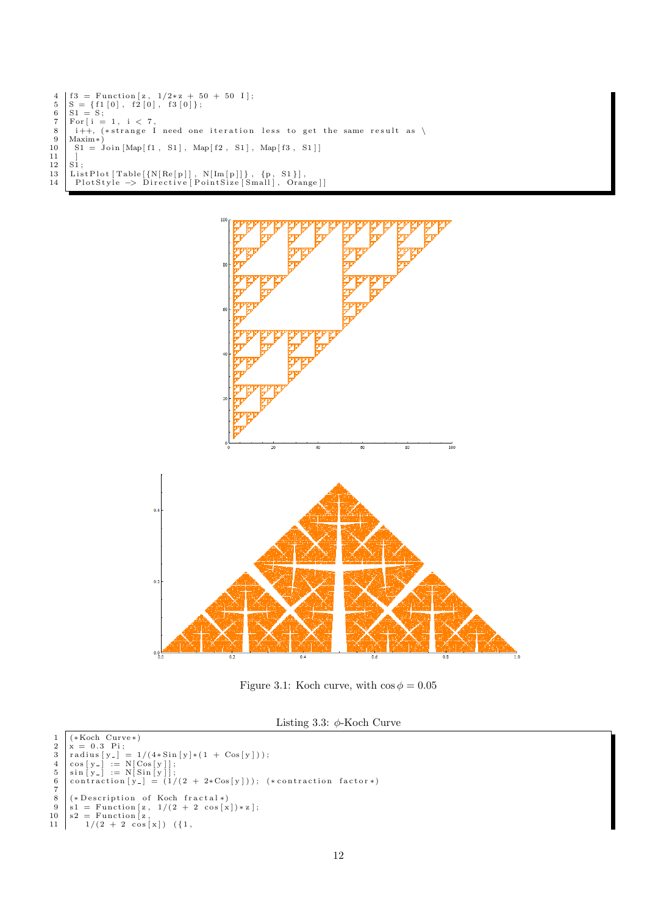```
\begin{array}{ll} 4 & \left[ 63 = \text{Function} \left[ \text{z} \right], \ 1/2 * \text{z} \ + \ 50 \ + \ \text{50} \ \text{S} \right] & \text{S} = \{ \text{f1} \left[ 0 \right], \ \ \text{f2} \left[ 0 \right], \ \ \text{f3} \left[ 0 \right] \}; \ 6 & \left[ \text{SI} \ = \ \text{S}; \end{array}7 | For[i = 1, i < 7,<br>8 | i++, (*strange I need one iteration less to get the same result as \
9 | Maxim∗)<br>10 | S1 = Join [Map[f1, S1], Map[f2, S1], Map[f3, S1]]
\frac{11}{12}12 S1;<br>13 ListPlot[Table[{N[Re[p]], N[Im[p]]}, {p, S1}],<br>14 PlotStyle → Directive[PointSize[Small], Orange]]
```


Figure 3.1: Koch curve, with  $\cos \phi = 0.05$ 

Listing 3.3:  $\phi$ -Koch Curve

```
1 (* Koch Curve*)<br>
2 x = 0.3 \text{ Pi};<br>
3 radius [y_] = 1/(4* Sin [y]*(1 + Cos[y]));<br>
4 cos[y_] := N[Cos[y]];<br>
5 sin [y_] := N[Sin [y]];<br>
6 contraction [y_] = (1/(2 + 2*Cos[y])); (*contraction factor*)
\begin{bmatrix} 6 \\ 7 \\ 8 \end{bmatrix}8 (* Description of Koch fractal *)<br>
9 s1 = Function [z, 1/(2 + 2 cos[x]) * z];<br>
10 s2 = Function [z, 1/(2 + 2 cos[x]) ;<br>
11 1/(2 + 2 cos[x]) ({1,
```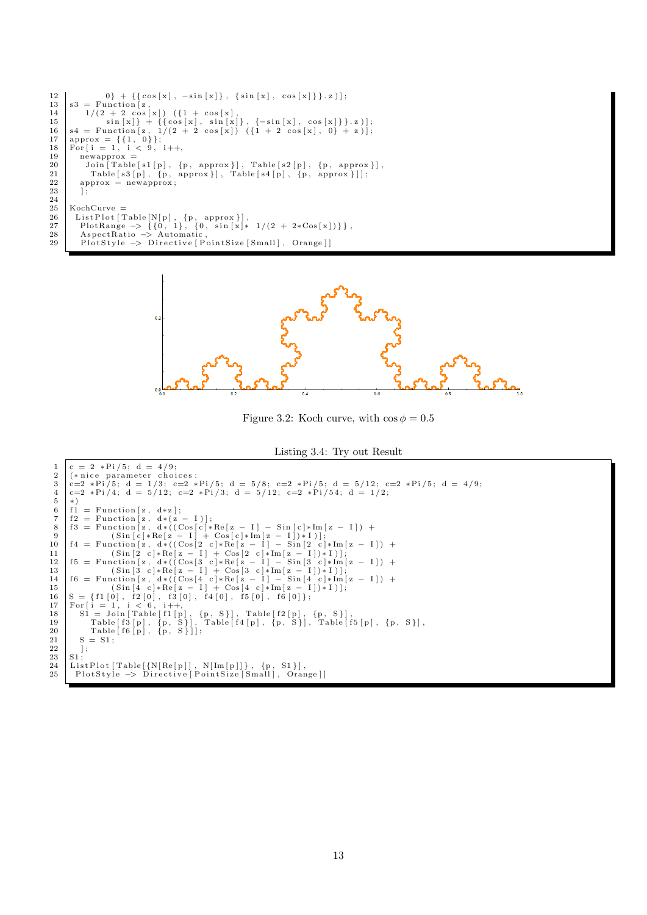```
12 \begin{bmatrix} 0 \\ 3 \end{bmatrix} + {\text{fcos}[x], -sin[x]}, {\text{sin}[x], cos[x]};13 s3 = Function [z,<br>
14 1/(2 + 2 cos[x]) (\{1 + cos[x],15<br>
16 \begin{array}{r} \sin [x] + {\cos [x], \sin [x]}, {\cos [x], \cos [x]}, z) \\ 16 \sin [z, 1/(2 + 2 \cos [x]) (1 + 2 \cos [x], 0) + z) \\ 17 \approx 18 \text{ P} \text{ or } \sin [1, 0]; \\ 18 \text{ P} \text{ or } \sin [1, 1/2]; \\ 19 \sin [1, 1/2] \sin [1/2, 1/2] \sin [1/2, 1/2] \sin [1/2, 1/2] \sin [1/2, 1/2] \sin [1/2, 1/2] \sin [1/2, 1/2] \sin [119 newapprox =<br>20 Join [Table [s1 [p], {p, approx}], Table [s2 [p], {p, approx}],<br>21 Table [s3 [p], {p, approx}], Table [s4 [p], {p, approx}]];
22 approx = newapprox;
 \begin{array}{c} 23 \\ 24 \end{array} ];
\begin{array}{c|c}\n\text{25} & \text{KochCurve} = \\
\text{26} & \text{ListPlot} & \text{T}\n\end{array}\begin{tabular}{ll} 26 & ListPlot [Table[N[p], \{p, approx\}], \\ 27 & PlotRange \rightarrow \{\{0, 1\}, \{0, sin[x]*1/(2 + 2*Cos[x])\}\}, \\ 28 & A spectrum: > Automatic[PointSize[Small], \, \, \, \text{Orange}]] \end{tabular}
```


Figure 3.2: Koch curve, with  $\cos \phi = 0.5$ 



```
\begin{array}{c|c} 1 & c = 2 *Pi/5; d = 4/9; \\ 2 & (*text{ nice parameter chain}) \end{array}2 |(*nice parameter choices:<br>3 |c=2 *Pi/5; d = 1/3; c=2 *Pi/5; d = 5/8; c=2 *Pi/5; d = 5/12; c=2 *Pi/5; d = 4/9;
 4 c=2 * Pi/4; d = 5/12; c=2 * Pi/3; d = 5/12; c=2 * Pi/54; d = 1/2;<br>
6 f1 = Function [z, d * (z - I)];<br>
7 f2 = Function [z, d * (Cos[c)*Re[z - I] - Sin[c]*Im[z - I]) +<br>
9 (Sin[c]*Re[z - I] + Cos[c]*Im[z - I]) * I)];<br>
10 f4 = Function [z, d * ((Cos[2 c]*Re[z - I] - Sin[2 c]*Im[z - I]) +<br>
10 sin[z, d * ((Cos[2 c]*Re[z - I] - Sin[2 c]*Im[z - I])\begin{array}{c|c} 23 & \text{S1} \\ 24 & \text{Lis} \end{array}24 | ListPlot [Table [{N[Re[p]], N[Im[p]]}, {p, S1}],<br>25 | PlotStyle → Directive [PointSize [Small], Orange]]
```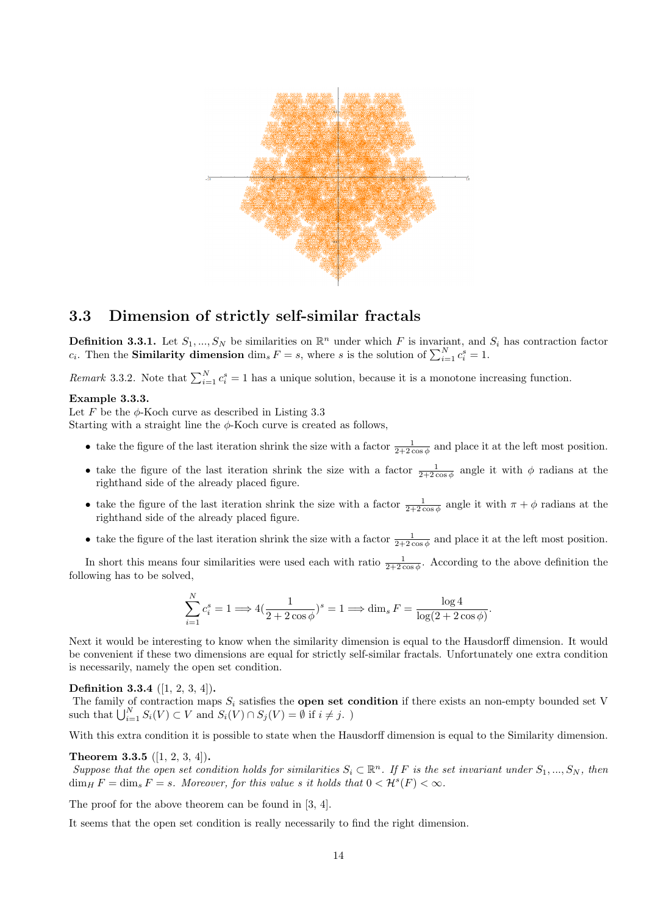

## 3.3 Dimension of strictly self-similar fractals

**Definition 3.3.1.** Let  $S_1, ..., S_N$  be similarities on  $\mathbb{R}^n$  under which F is invariant, and  $S_i$  has contraction factor  $c_i$ . Then the **Similarity dimension**  $\dim_s F = s$ , where s is the solution of  $\sum_{i=1}^{N} c_i^s = 1$ .

Remark 3.3.2. Note that  $\sum_{i=1}^{N} c_i^s = 1$  has a unique solution, because it is a monotone increasing function.

#### Example 3.3.3.

Let F be the  $\phi$ -Koch curve as described in Listing 3.3

Starting with a straight line the  $\phi$ -Koch curve is created as follows,

- take the figure of the last iteration shrink the size with a factor  $\frac{1}{2+2\cos\phi}$  and place it at the left most position.
- take the figure of the last iteration shrink the size with a factor  $\frac{1}{2+2\cos\phi}$  angle it with  $\phi$  radians at the righthand side of the already placed figure.
- take the figure of the last iteration shrink the size with a factor  $\frac{1}{2+2\cos\phi}$  angle it with  $\pi + \phi$  radians at the righthand side of the already placed figure.
- take the figure of the last iteration shrink the size with a factor  $\frac{1}{2+2\cos\phi}$  and place it at the left most position.

In short this means four similarities were used each with ratio  $\frac{1}{2+2\cos\phi}$ . According to the above definition the following has to be solved,

$$
\sum_{i=1}^{N} c_i^s = 1 \Longrightarrow 4(\frac{1}{2+2\cos\phi})^s = 1 \Longrightarrow \dim_s F = \frac{\log 4}{\log(2+2\cos\phi)}.
$$

Next it would be interesting to know when the similarity dimension is equal to the Hausdorff dimension. It would be convenient if these two dimensions are equal for strictly self-similar fractals. Unfortunately one extra condition is necessarily, namely the open set condition.

Definition 3.3.4 ([1, 2, 3, 4]).

The family of contraction maps  $S_i$  satisfies the **open set condition** if there exists an non-empty bounded set V such that  $\bigcup_{i=1}^{N} S_i(V) \subset V$  and  $S_i(V) \cap S_j(V) = \emptyset$  if  $i \neq j$ .

With this extra condition it is possible to state when the Hausdorff dimension is equal to the Similarity dimension.

#### Theorem 3.3.5 ([1, 2, 3, 4]).

Suppose that the open set condition holds for similarities  $S_i \subset \mathbb{R}^n$ . If F is the set invariant under  $S_1, ..., S_N$ , then  $\dim_H F = \dim_s F = s$ . Moreover, for this value s it holds that  $0 < H^s(F) < \infty$ .

The proof for the above theorem can be found in [3, 4].

It seems that the open set condition is really necessarily to find the right dimension.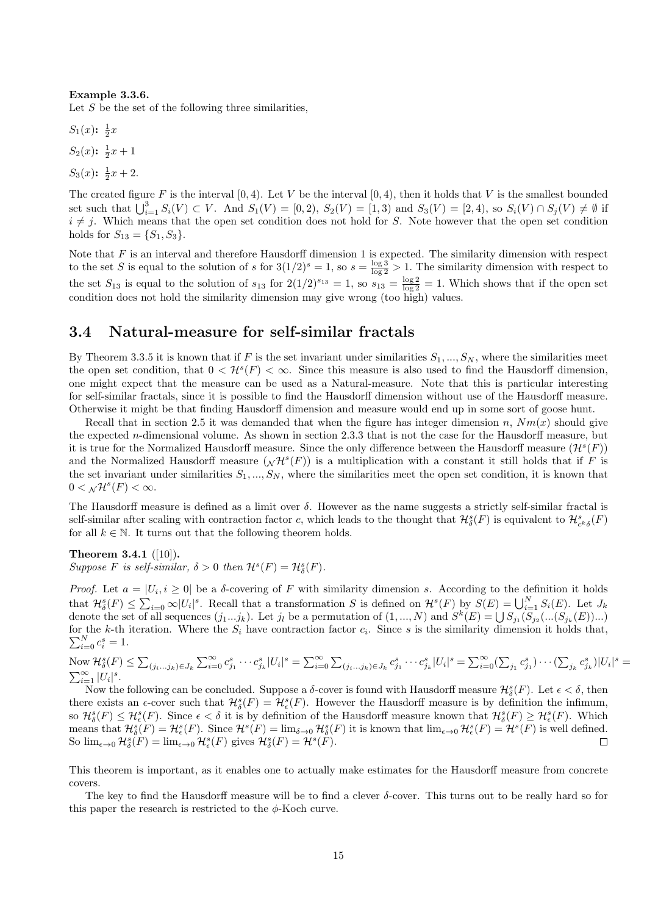#### Example 3.3.6.

Let  $S$  be the set of the following three similarities,

 $S_1(x)$ :  $\frac{1}{2}x$  $S_2(x)$ :  $\frac{1}{2}x + 1$  $S_3(x)$ :  $\frac{1}{2}x + 2$ .

The created figure F is the interval  $[0, 4)$ . Let V be the interval  $[0, 4)$ , then it holds that V is the smallest bounded set such that  $\bigcup_{i=1}^{3} S_i(V) \subset V$ . And  $S_1(V) = [0, 2), S_2(V) = [1, 3)$  and  $S_3(V) = [2, 4),$  so  $S_i(V) \cap S_j(V) \neq \emptyset$  if  $i \neq j$ . Which means that the open set condition does not hold for S. Note however that the open set condition holds for  $S_{13} = \{S_1, S_3\}.$ 

Note that  $F$  is an interval and therefore Hausdorff dimension 1 is expected. The similarity dimension with respect to the set S is equal to the solution of s for  $3(1/2)^s = 1$ , so  $s = \frac{\log 3}{\log 2} > 1$ . The similarity dimension with respect to the set  $S_{13}$  is equal to the solution of  $s_{13}$  for  $2(1/2)^{s_{13}} = 1$ , so  $s_{13} = \frac{\log 2}{\log 2} = 1$ . Which shows that if the open set condition does not hold the similarity dimension may give wrong (too high) values.

### 3.4 Natural-measure for self-similar fractals

By Theorem 3.3.5 it is known that if F is the set invariant under similarities  $S_1, ..., S_N$ , where the similarities meet the open set condition, that  $0 < H^s(F) < \infty$ . Since this measure is also used to find the Hausdorff dimension, one might expect that the measure can be used as a Natural-measure. Note that this is particular interesting for self-similar fractals, since it is possible to find the Hausdorff dimension without use of the Hausdorff measure. Otherwise it might be that finding Hausdorff dimension and measure would end up in some sort of goose hunt.

Recall that in section 2.5 it was demanded that when the figure has integer dimension n,  $Nm(x)$  should give the expected n-dimensional volume. As shown in section 2.3.3 that is not the case for the Hausdorff measure, but it is true for the Normalized Hausdorff measure. Since the only difference between the Hausdorff measure  $(\mathcal{H}^s(F))$ and the Normalized Hausdorff measure  $(\mathcal{N}H^s(F))$  is a multiplication with a constant it still holds that if F is the set invariant under similarities  $S_1, ..., S_N$ , where the similarities meet the open set condition, it is known that  $0 < \mathcal{N} \mathcal{H}^s(F) < \infty.$ 

The Hausdorff measure is defined as a limit over  $\delta$ . However as the name suggests a strictly self-similar fractal is self-similar after scaling with contraction factor c, which leads to the thought that  $\mathcal{H}^s_\delta(F)$  is equivalent to  $\mathcal{H}^s_{c^k\delta}(F)$ for all  $k \in \mathbb{N}$ . It turns out that the following theorem holds.

Theorem 3.4.1 ([10]). Suppose F is self-similar,  $\delta > 0$  then  $\mathcal{H}^s(F) = \mathcal{H}^s_{\delta}(F)$ .

Proof. Let  $a = |U_i, i \geq 0|$  be a  $\delta$ -covering of F with similarity dimension s. According to the definition it holds that  $\mathcal{H}_{\delta}^{s}(F) \leq \sum_{i=0}^{\infty} \infty |U_{i}|^{s}$ . Recall that a transformation S is defined on  $\mathcal{H}^{s}(F)$  by  $S(E) = \bigcup_{i=1}^{N} S_{i}(E)$ . Let  $J_{k}$ denote the set of all sequences  $(j_1...j_k)$ . Let  $j_l$  be a permutation of  $(1, ..., N)$  and  $S^k(E) = \bigcup S_{j_1}(S_{j_2}(...S_{j_k}(E))...)$ for the k-th iteration. Where the  $S_i$  have contraction factor  $c_i$ . Since s is the similarity dimension it holds that,  $\sum_{i=0}^{N} c_i^s = 1.$ 

Now  $\mathcal{H}_{\delta}^{s}(F) \leq \sum_{(j_{i}...j_{k})\in J_{k}} \sum_{i=0}^{\infty} c_{j_{1}}^{s}\cdots c_{j_{k}}^{s}|U_{i}|^{s} = \sum_{i=0}^{\infty} \sum_{(j_{i}...j_{k})\in J_{k}} c_{j_{1}}^{s}\cdots c_{j_{k}}^{s}|U_{i}|^{s} = \sum_{i=0}^{\infty} (\sum_{j_{1}} c_{j_{1}}^{s})\cdots (\sum_{j_{k}} c_{j_{k}}^{s})|U_{i}|^{s} =$  $\sum_{i=1}^{\infty} |U_i|^s$ .

Now the following can be concluded. Suppose a  $\delta$ -cover is found with Hausdorff measure  $\mathcal{H}^s_\delta(F)$ . Let  $\epsilon < \delta$ , then there exists an  $\epsilon$ -cover such that  $\mathcal{H}_{\delta}^s(F) = \mathcal{H}_{\epsilon}^s(F)$ . However the Hausdorff measure is by definition the infimum, so  $\mathcal{H}_{\delta}^{s}(F) \leq \mathcal{H}_{\epsilon}^{s}(F)$ . Since  $\epsilon < \delta$  it is by definition of the Hausdorff measure known that  $\mathcal{H}_{\delta}^{s}(F) \geq \mathcal{H}_{\epsilon}^{s}(F)$ . Which means that  $\mathcal{H}^s_{\delta}(F) = \mathcal{H}^s_{\epsilon}(F)$ . Since  $\mathcal{H}^s(F) = \lim_{\delta \to 0} \mathcal{H}^s_{\delta}(F)$  it is known that  $\lim_{\epsilon \to 0} \mathcal{H}^s_{\epsilon}(F) = \mathcal{H}^s(F)$  is well defined. So  $\lim_{\epsilon \to 0} \mathcal{H}_{\delta}^s(F) = \lim_{\epsilon \to 0} \mathcal{H}_{\epsilon}^s(F)$  gives  $\mathcal{H}_{\delta}^s(F) = \mathcal{H}^s(F)$ . □

This theorem is important, as it enables one to actually make estimates for the Hausdorff measure from concrete covers.

The key to find the Hausdorff measure will be to find a clever  $\delta$ -cover. This turns out to be really hard so for this paper the research is restricted to the  $\phi$ -Koch curve.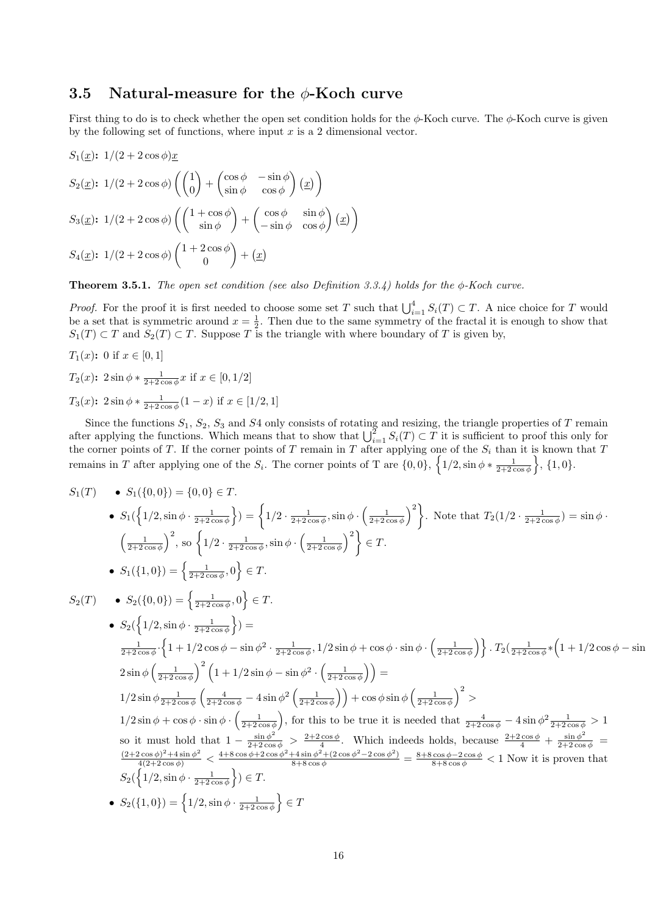## 3.5 Natural-measure for the  $\phi$ -Koch curve

First thing to do is to check whether the open set condition holds for the  $\phi$ -Koch curve. The  $\phi$ -Koch curve is given by the following set of functions, where input  $x$  is a 2 dimensional vector.

$$
S_1(\underline{x}); \ 1/(2+2\cos\phi)\underline{x}
$$
  
\n
$$
S_2(\underline{x}); \ 1/(2+2\cos\phi) \left( \begin{pmatrix} 1 \\ 0 \end{pmatrix} + \begin{pmatrix} \cos\phi & -\sin\phi \\ \sin\phi & \cos\phi \end{pmatrix} (\underline{x}) \right)
$$
  
\n
$$
S_3(\underline{x}); \ 1/(2+2\cos\phi) \left( \begin{pmatrix} 1+\cos\phi \\ \sin\phi \end{pmatrix} + \begin{pmatrix} \cos\phi & \sin\phi \\ -\sin\phi & \cos\phi \end{pmatrix} (\underline{x}) \right)
$$
  
\n
$$
S_4(\underline{x}); \ 1/(2+2\cos\phi) \left( \begin{pmatrix} 1+2\cos\phi \\ 0 \end{pmatrix} + (\underline{x}) \right)
$$

**Theorem 3.5.1.** The open set condition (see also Definition 3.3.4) holds for the  $\phi$ -Koch curve.

*Proof.* For the proof it is first needed to choose some set T such that  $\bigcup_{i=1}^{4} S_i(T) \subset T$ . A nice choice for T would be a set that is symmetric around  $x = \frac{1}{2}$ . Then due to the same symmetry of the fractal it is enough to show that  $S_1(T) \subset T$  and  $S_2(T) \subset T$ . Suppose T is the triangle with where boundary of T is given by,

$$
T_1(x): 0 \text{ if } x \in [0, 1]
$$
  
\n
$$
T_2(x): 2 \sin \phi * \frac{1}{2+2 \cos \phi} x \text{ if } x \in [0, 1/2]
$$
  
\n
$$
T_3(x): 2 \sin \phi * \frac{1}{2+2 \cos \phi} (1-x) \text{ if } x \in [1/2, 1]
$$

Since the functions  $S_1$ ,  $S_2$ ,  $S_3$  and  $S_4$  only consists of rotating and resizing, the triangle properties of  $T$  remain after applying the functions. Which means that to show that  $\bigcup_{i=1}^2 S_i(T) \subset T$  it is sufficient to proof this only for the corner points of T. If the corner points of T remain in T after applying one of the  $S_i$  than it is known that T remains in T after applying one of the  $S_i$ . The corner points of T are  $\{0,0\}$ ,  $\left\{1/2,\sin\phi*\frac{1}{2+2\cos\phi}\right\}$ ,  $\{1,0\}$ .

$$
S_1(T) \bullet S_1(\{0,0\}) = \{0,0\} \in T.
$$
\n
$$
\bullet S_1(\{1/2, \sin \phi \cdot \frac{1}{2+2\cos \phi}\}) = \{1/2 \cdot \frac{1}{2+2\cos \phi}, \sin \phi \cdot \left(\frac{1}{2+2\cos \phi}\right)^2\}.
$$
 Note that  $T_2(1/2 \cdot \frac{1}{2+2\cos \phi}) = \sin \phi \cdot \left(\frac{1}{2+2\cos \phi}\right)^2$ , so  $\left\{1/2 \cdot \frac{1}{2+2\cos \phi}, \sin \phi \cdot \left(\frac{1}{2+2\cos \phi}\right)^2\} \in T.$ \n
$$
\bullet S_1(\{1,0\}) = \left\{\frac{1}{2+2\cos \phi}, 0\right\} \in T.
$$
\n
$$
S_2(T) \bullet S_2(\{0,0\}) = \left\{\frac{1}{2+2\cos \phi}, 0\right\} \in T.
$$
\n
$$
\bullet S_2(\{1/2, \sin \phi \cdot \frac{1}{2+2\cos \phi}\}) =
$$
\n
$$
\frac{1}{2+2\cos \phi} \cdot \left\{1 + 1/2\cos \phi - \sin \phi^2 \cdot \frac{1}{2+2\cos \phi}, 1/2\sin \phi + \cos \phi \cdot \sin \phi \cdot \left(\frac{1}{2+2\cos \phi}\right)\right\}.
$$
\n
$$
T_2(\frac{1}{2+2\cos \phi} * \left(1 + 1/2\cos \phi - \sin \phi^2)\right) =
$$
\n
$$
T_2(\frac{1}{2+2\cos \phi} * \left(1 + 1/2\cos \phi - \sin \phi^2)\right) =
$$
\n
$$
T_2(\frac{1}{2+2\cos \phi} * \left(1 + 1/2\cos \phi - \sin \phi^2)\right) =
$$
\n
$$
T_2(\frac{1}{2+2\cos \phi} * \left(1 + 1/2\cos \phi - \sin \phi^2)\right) =
$$
\n
$$
T_2(\frac{1}{2+2\cos \phi} * \left(1 + 1/2\cos \phi - \sin \phi^2)\right) =
$$
\n
$$
T_2(\frac{1}{2+2\cos \phi} * \left(1 + 1/2
$$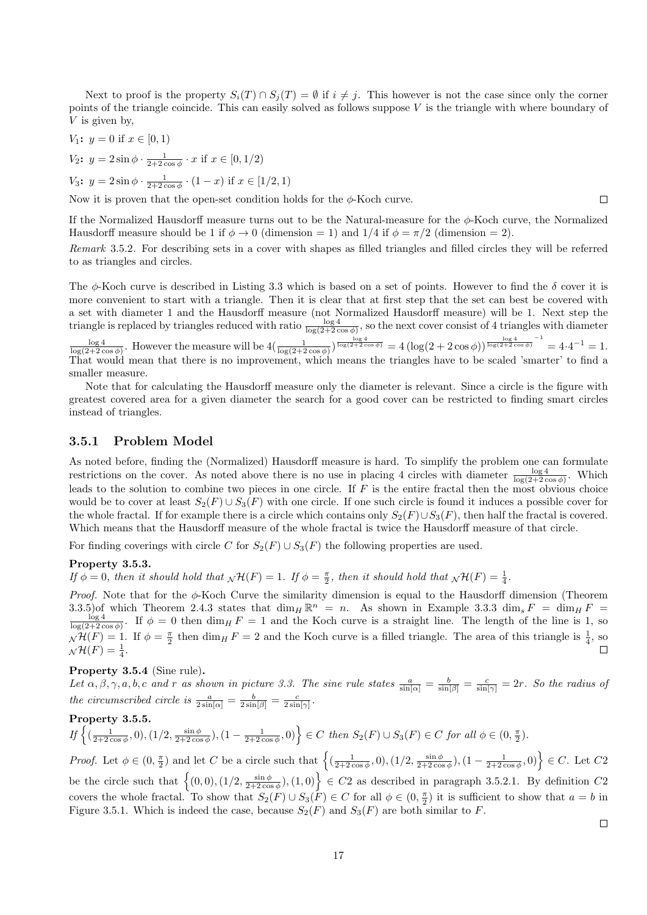Next to proof is the property  $S_i(T) \cap S_j(T) = \emptyset$  if  $i \neq j$ . This however is not the case since only the corner points of the triangle coincide. This can easily solved as follows suppose V is the triangle with where boundary of V is given by,

$$
V_1: y = 0 \text{ if } x \in [0, 1)
$$
  

$$
V_2: y = 2 \sin \phi \cdot \frac{1}{2 + 2 \cos \phi} \cdot x \text{ if } x \in [0, 1/2)
$$

 $V_3$ :  $y = 2 \sin \phi \cdot \frac{1}{2+2 \cos \phi} \cdot (1-x)$  if  $x \in [1/2, 1)$ 

Now it is proven that the open-set condition holds for the  $\phi$ -Koch curve.

If the Normalized Hausdorff measure turns out to be the Natural-measure for the  $\phi$ -Koch curve, the Normalized Hausdorff measure should be 1 if  $\phi \rightarrow 0$  (dimension = 1) and  $1/4$  if  $\phi = \pi/2$  (dimension = 2).

Remark 3.5.2. For describing sets in a cover with shapes as filled triangles and filled circles they will be referred to as triangles and circles.

The  $\phi$ -Koch curve is described in Listing 3.3 which is based on a set of points. However to find the  $\delta$  cover it is more convenient to start with a triangle. Then it is clear that at first step that the set can best be covered with a set with diameter 1 and the Hausdorff measure (not Normalized Hausdorff measure) will be 1. Next step the triangle is replaced by triangles reduced with ratio  $\frac{\log 4}{\log(2+2\cos\phi)}$ , so the next cover consist of 4 triangles with diameter

 $\frac{\log 4}{\log(2+2\cos\phi)}$ . However the measure will be  $4(\frac{1}{\log(2+2\cos\phi)})^{\frac{\log 4}{\log(2+2\cos\phi)}} = 4(\log(2+2\cos\phi))^{\frac{\log 4}{\log(2+2\cos\phi)}}^{-1} = 4\cdot4^{-1} = 1$ . That would mean that there is no improvement, which means the triangles have to be scaled 'smarter' to find a smaller measure.

Note that for calculating the Hausdorff measure only the diameter is relevant. Since a circle is the figure with greatest covered area for a given diameter the search for a good cover can be restricted to finding smart circles instead of triangles.

#### 3.5.1 Problem Model

As noted before, finding the (Normalized) Hausdorff measure is hard. To simplify the problem one can formulate restrictions on the cover. As noted above there is no use in placing 4 circles with diameter  $\frac{\log 4}{\log(2+2\cos\phi)}$ . Which leads to the solution to combine two pieces in one circle. If  $F$  is the entire fractal then the most obvious choice would be to cover at least  $S_2(F) \cup S_3(F)$  with one circle. If one such circle is found it induces a possible cover for the whole fractal. If for example there is a circle which contains only  $S_2(F) \cup S_3(F)$ , then half the fractal is covered. Which means that the Hausdorff measure of the whole fractal is twice the Hausdorff measure of that circle.

For finding coverings with circle C for  $S_2(F) \cup S_3(F)$  the following properties are used.

#### Property 3.5.3.

If  $\phi = 0$ , then it should hold that  $\chi \mathcal{H}(F) = 1$ . If  $\phi = \frac{\pi}{2}$ , then it should hold that  $\chi \mathcal{H}(F) = \frac{1}{4}$ .

*Proof.* Note that for the  $\phi$ -Koch Curve the similarity dimension is equal to the Hausdorff dimension (Theorem 3.3.5)of which Theorem 2.4.3 states that  $\dim_H \mathbb{R}^n = n$ . As shown in Example 3.3.3  $\dim_s F = \dim_H F$  $\frac{\log 4}{\log(2+2\cos\phi)}$ . If  $\phi = 0$  then  $\dim_H F = 1$  and the Koch curve is a straight line. The length of the line is 1, so  $\mathcal{N}(F) = 1$ . If  $\phi = \frac{\pi}{2}$  then dim<sub>H</sub> F = 2 and the Koch curve is a filled triangle. The area of this triangle is  $\frac{1}{4}$ , so  $_N\mathcal{H}(F)=\frac{1}{4}.$ 

#### Property 3.5.4 (Sine rule).

Let  $\alpha, \beta, \gamma, a, b, c$  and r as shown in picture 3.3. The sine rule states  $\frac{a}{\sin[\alpha]} = \frac{b}{\sin[\beta]} = \frac{c}{\sin[\gamma]} = 2r$ . So the radius of the circumscribed circle is  $\frac{a}{2\sin[\alpha]} = \frac{b}{2\sin[\beta]} = \frac{c}{2\sin[\gamma]}$ .

Property 3.5.5.  $\left\{ \left( \frac{1}{2+2\cos\phi}, 0 \right), (1/2, \frac{\sin\phi}{2+2\cos\phi}), (1-\frac{1}{2+2\cos\phi}, 0) \right\} \in C \text{ then } S_2(F) \cup S_3(F) \in C \text{ for all } \phi \in (0, \frac{\pi}{2}).$ 

Proof. Let  $\phi \in (0, \frac{\pi}{2})$  and let C be a circle such that  $\left\{ \left( \frac{1}{2+2\cos\phi}, 0 \right), \left( 1/2, \frac{\sin\phi}{2+2\cos\phi}, 0 \right), \left( 1-\frac{1}{2+2\cos\phi}, 0 \right) \right\} \in C$ . Let  $C2$ be the circle such that  $\{(0,0), (1/2, \frac{\sin \phi}{2+2\cos \phi}), (1,0)\}\in C2$  as described in paragraph 3.5.2.1. By definition  $C2$ covers the whole fractal. To show that  $S_2(F) \cup S_3(F) \in C$  for all  $\phi \in (0, \frac{\pi}{2})$  it is sufficient to show that  $a = b$  in Figure 3.5.1. Which is indeed the case, because  $S_2(F)$  and  $S_3(F)$  are both similar to F.

 $\Box$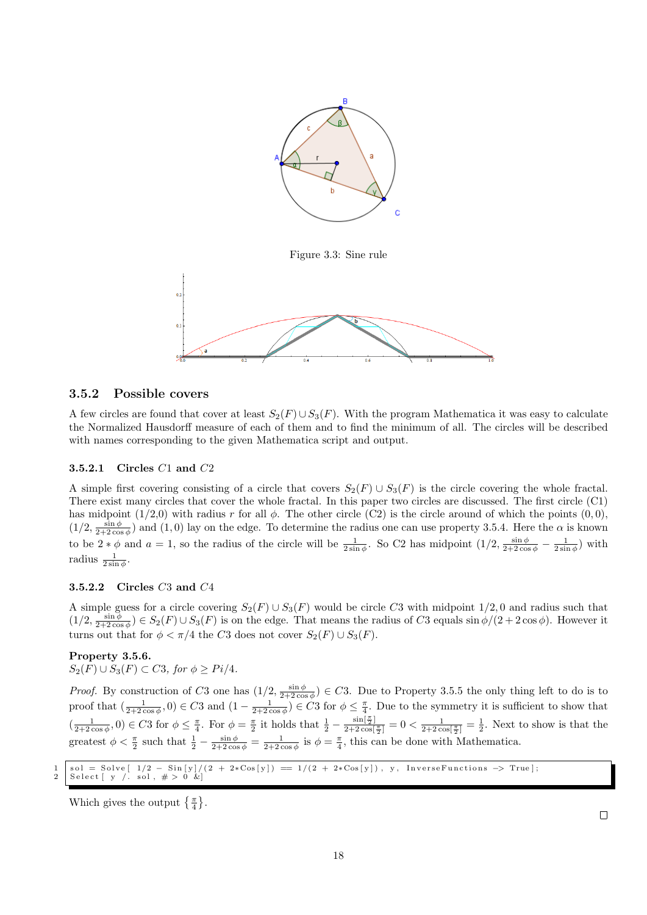

Figure 3.3: Sine rule



#### 3.5.2 Possible covers

A few circles are found that cover at least  $S_2(F) \cup S_3(F)$ . With the program Mathematica it was easy to calculate the Normalized Hausdorff measure of each of them and to find the minimum of all. The circles will be described with names corresponding to the given Mathematica script and output.

#### 3.5.2.1 Circles C1 and C2

A simple first covering consisting of a circle that covers  $S_2(F) \cup S_3(F)$  is the circle covering the whole fractal. There exist many circles that cover the whole fractal. In this paper two circles are discussed. The first circle (C1) has midpoint  $(1/2,0)$  with radius r for all  $\phi$ . The other circle (C2) is the circle around of which the points  $(0,0)$ ,  $(1/2, \frac{\sin \phi}{2+2\cos \phi})$  and  $(1,0)$  lay on the edge. To determine the radius one can use property 3.5.4. Here the  $\alpha$  is known to be  $2 * \phi$  and  $a = 1$ , so the radius of the circle will be  $\frac{1}{2 \sin \phi}$ . So C2 has midpoint  $(1/2, \frac{\sin \phi}{2+2 \cos \phi} - \frac{1}{2 \sin \phi})$  with radius  $\frac{1}{2\sin\phi}$ .

#### 3.5.2.2 Circles C3 and C4

A simple guess for a circle covering  $S_2(F) \cup S_3(F)$  would be circle C3 with midpoint 1/2,0 and radius such that  $(1/2, \frac{\sin \phi}{2+2\cos \phi}) \in S_2(F) \cup S_3(F)$  is on the edge. That means the radius of C3 equals  $\sin \phi/(2+2\cos \phi)$ . However it turns out that for  $\phi < \pi/4$  the C3 does not cover  $S_2(F) \cup S_3(F)$ .

#### Property 3.5.6.

 $S_2(F) \cup S_3(F) \subset C3$ , for  $\phi \geq Pi/4$ .

*Proof.* By construction of C3 one has  $(1/2, \frac{\sin \phi}{2+2\cos \phi}) \in C3$ . Due to Property 3.5.5 the only thing left to do is to proof that  $\left(\frac{1}{2+2\cos\phi},0\right) \in C3$  and  $\left(1-\frac{1}{2+2\cos\phi}\right) \in C3$  for  $\phi \leq \frac{\pi}{4}$ . Due to the symmetry it is sufficient to show that  $\left(\frac{1}{2+2\cos\phi},0\right)\in C3$  for  $\phi\leq \frac{\pi}{4}$ . For  $\phi=\frac{\pi}{2}$  it holds that  $\frac{1}{2}-\frac{\sin[\frac{\pi}{2}]}{2+2\cos[\frac{\pi}{2}]}=0<\frac{1}{2+2\cos[\frac{\pi}{2}]}=\frac{1}{2}$ . Next to show is that the greatest  $\phi < \frac{\pi}{2}$  such that  $\frac{1}{2} - \frac{\sin \phi}{2 + 2 \cos \phi} = \frac{1}{2 + 2 \cos \phi}$  is  $\phi = \frac{\pi}{4}$ , this can be done with Mathematica.

1 s o l = S o l v e [ 1/2 − S in [ y ] / ( 2 + 2∗Cos [ y ] ) == 1 / ( 2 + 2∗Cos [ y ] ) , y , I n v e r s e F u n c t i o n s −> True ] ; 2 S e l e c t [ y / . s o l , # > 0 &]

Which gives the output  $\{\frac{\pi}{4}\}.$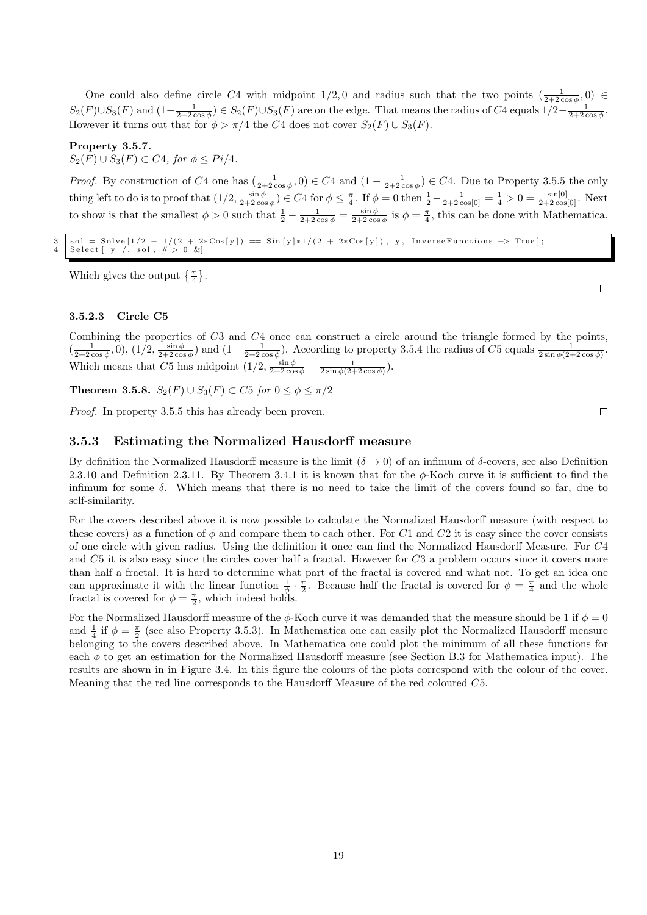One could also define circle C4 with midpoint  $1/2, 0$  and radius such that the two points  $\left(\frac{1}{2+2\cos\phi}, 0\right) \in$  $S_2(F) \cup S_3(F)$  and  $(1-\frac{1}{2+2\cos\phi}) \in S_2(F) \cup S_3(F)$  are on the edge. That means the radius of C4 equals  $1/2-\frac{1}{2+2\cos\phi}$ . However it turns out that for  $\phi > \pi/4$  the C4 does not cover  $S_2(F) \cup S_3(F)$ .

#### Property 3.5.7.

 $S_2(F) \cup S_3(F) \subset C4$ , for  $\phi \leq Pi/4$ .

*Proof.* By construction of C4 one has  $\left(\frac{1}{2+2\cos\phi}, 0\right) \in C4$  and  $\left(1-\frac{1}{2+2\cos\phi}\right) \in C4$ . Due to Property 3.5.5 the only thing left to do is to proof that  $(1/2, \frac{\sin \phi}{2+2\cos \phi}) \in C4$  for  $\phi \leq \frac{\pi}{4}$ . If  $\phi = 0$  then  $\frac{1}{2} - \frac{1}{2+2\cos[0]} = \frac{1}{4} > 0 = \frac{\sin[0]}{2+2\cos[0]}$ . Next to show is that the smallest  $\phi > 0$  such that  $\frac{1}{2} - \frac{1}{2+2\cos\phi} = \frac{\sin\phi}{2+2\cos\phi}$  is  $\phi = \frac{\pi}{4}$ , this can be done with Mathematica.

 $3 \mid \text{sol} = \text{Solve} \left[ 1/2 - 1/(2 + 2*\text{Cos}[y]) \right] = \text{Sin}[y]*1/(2 + 2*\text{Cos}[y])$ , y, Inverse Functions  $\rightarrow$  True ; Select  $\begin{bmatrix} y \end{bmatrix}$  sol,  $\neq 0$  &

Which gives the output  $\{\frac{\pi}{4}\}.$ 

3.5.2.3 Circle C5

Combining the properties of C3 and C4 once can construct a circle around the triangle formed by the points,  $\left(\frac{1}{2+2\cos\phi},0\right),\left(1/2,\frac{\sin\phi}{2+2\cos\phi}\right)$  and  $\left(1-\frac{1}{2+2\cos\phi}\right)$ . According to property 3.5.4 the radius of C5 equals  $\frac{1}{2\sin\phi(2+2\cos\phi)}$ . Which means that C5 has midpoint  $(1/2, \frac{\sin \phi}{2 + 2 \cos \phi} - \frac{1}{2 \sin \phi (2 + 2 \cos \phi)})$ .

Theorem 3.5.8.  $S_2(F) \cup S_3(F) \subset C5$  for  $0 \le \phi \le \pi/2$ 

Proof. In property 3.5.5 this has already been proven.

#### 3.5.3 Estimating the Normalized Hausdorff measure

By definition the Normalized Hausdorff measure is the limit  $(\delta \to 0)$  of an infimum of  $\delta$ -covers, see also Definition 2.3.10 and Definition 2.3.11. By Theorem 3.4.1 it is known that for the  $\phi$ -Koch curve it is sufficient to find the infimum for some  $\delta$ . Which means that there is no need to take the limit of the covers found so far, due to self-similarity.

For the covers described above it is now possible to calculate the Normalized Hausdorff measure (with respect to these covers) as a function of  $\phi$  and compare them to each other. For C1 and C2 it is easy since the cover consists of one circle with given radius. Using the definition it once can find the Normalized Hausdorff Measure. For C4 and C5 it is also easy since the circles cover half a fractal. However for C3 a problem occurs since it covers more than half a fractal. It is hard to determine what part of the fractal is covered and what not. To get an idea one can approximate it with the linear function  $\frac{1}{\phi} \cdot \frac{\pi}{2}$ . Because half the fractal is covered for  $\phi = \frac{\pi}{4}$  and the whole fractal is covered for  $\phi = \frac{\pi}{2}$ , which indeed holds.

For the Normalized Hausdorff measure of the  $\phi$ -Koch curve it was demanded that the measure should be 1 if  $\phi = 0$ and  $\frac{1}{4}$  if  $\phi = \frac{\pi}{2}$  (see also Property 3.5.3). In Mathematica one can easily plot the Normalized Hausdorff measure belonging to the covers described above. In Mathematica one could plot the minimum of all these functions for each  $\phi$  to get an estimation for the Normalized Hausdorff measure (see Section B.3 for Mathematica input). The results are shown in in Figure 3.4. In this figure the colours of the plots correspond with the colour of the cover. Meaning that the red line corresponds to the Hausdorff Measure of the red coloured C5.

 $\Box$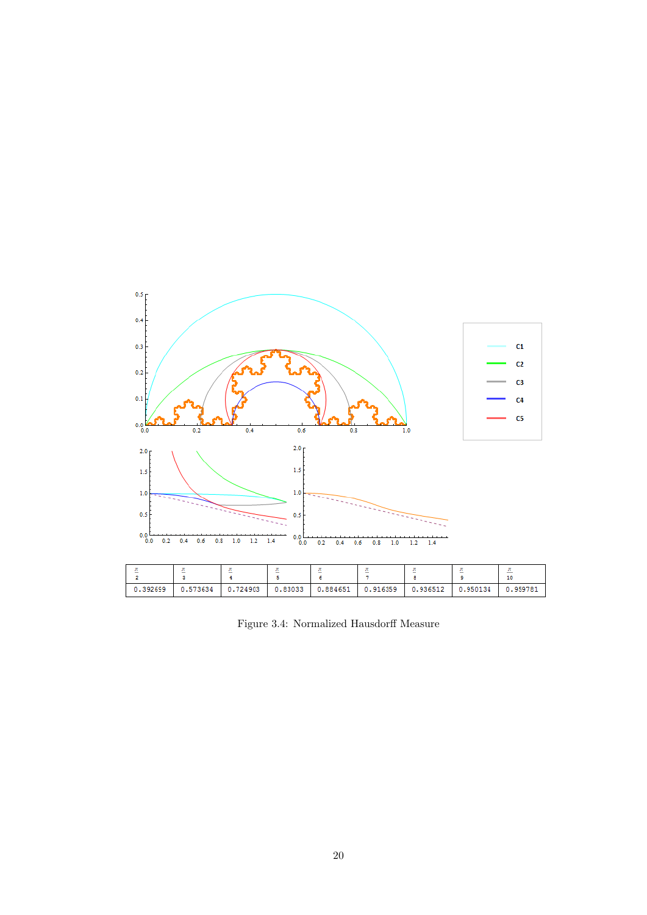

Figure 3.4: Normalized Hausdorff Measure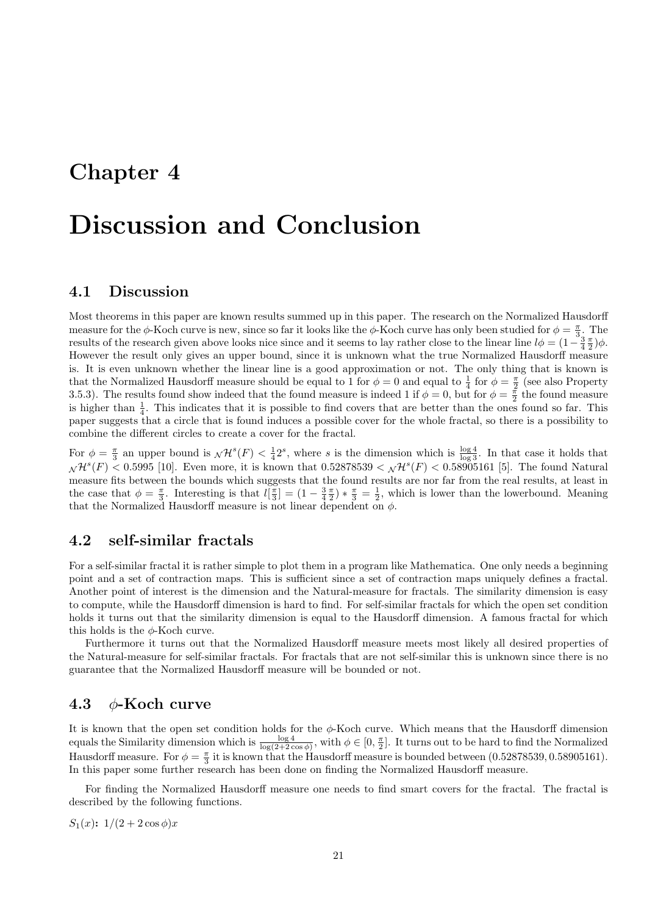## Chapter 4

# Discussion and Conclusion

## 4.1 Discussion

Most theorems in this paper are known results summed up in this paper. The research on the Normalized Hausdorff measure for the  $\phi$ -Koch curve is new, since so far it looks like the  $\phi$ -Koch curve has only been studied for  $\phi = \frac{\pi}{3}$ . The results of the research given above looks nice since and it seems to lay rather close to the linear line  $l\phi = (1 - \frac{3}{4}\frac{\pi}{2})\phi$ . However the result only gives an upper bound, since it is unknown what the true Normalized Hausdorff measure is. It is even unknown whether the linear line is a good approximation or not. The only thing that is known is that the Normalized Hausdorff measure should be equal to 1 for  $\phi = 0$  and equal to  $\frac{1}{4}$  for  $\phi = \frac{\pi}{2}$  (see also Property 3.5.3). The results found show indeed that the found measure is indeed 1 if  $\phi = 0$ , but for  $\phi = \frac{\pi}{2}$  the found measure is higher than  $\frac{1}{4}$ . This indicates that it is possible to find covers that are better than the ones found so far. This paper suggests that a circle that is found induces a possible cover for the whole fractal, so there is a possibility to combine the different circles to create a cover for the fractal.

For  $\phi = \frac{\pi}{3}$  an upper bound is  $\mathcal{N}H^s(F) < \frac{1}{4}2^s$ , where s is the dimension which is  $\frac{\log 4}{\log 3}$ . In that case it holds that  $\sqrt{H^s(F)}$  < 0.5995 [10]. Even more, it is known that  $0.52878539 < \sqrt{H^s(F)}$  < 0.58905161 [5]. The found Natural measure fits between the bounds which suggests that the found results are nor far from the real results, at least in the case that  $\phi = \frac{\pi}{3}$ . Interesting is that  $l[\frac{\pi}{3}] = (1 - \frac{3\pi}{4}) * \frac{\pi}{3} = \frac{1}{2}$ , which is lower than the lowerbound. Meaning that the Normalized Hausdorff measure is not linear dependent on  $\phi$ .

## 4.2 self-similar fractals

For a self-similar fractal it is rather simple to plot them in a program like Mathematica. One only needs a beginning point and a set of contraction maps. This is sufficient since a set of contraction maps uniquely defines a fractal. Another point of interest is the dimension and the Natural-measure for fractals. The similarity dimension is easy to compute, while the Hausdorff dimension is hard to find. For self-similar fractals for which the open set condition holds it turns out that the similarity dimension is equal to the Hausdorff dimension. A famous fractal for which this holds is the  $\phi$ -Koch curve.

Furthermore it turns out that the Normalized Hausdorff measure meets most likely all desired properties of the Natural-measure for self-similar fractals. For fractals that are not self-similar this is unknown since there is no guarantee that the Normalized Hausdorff measure will be bounded or not.

### 4.3  $\phi$ -Koch curve

It is known that the open set condition holds for the  $\phi$ -Koch curve. Which means that the Hausdorff dimension equals the Similarity dimension which is  $\frac{\log 4}{\log(2+2\cos\phi)}$ , with  $\phi \in [0, \frac{\pi}{2}]$ . It turns out to be hard to find the Normalized Hausdorff measure. For  $\phi = \frac{\pi}{3}$  it is known that the Hausdorff measure is bounded between (0.52878539, 0.58905161). In this paper some further research has been done on finding the Normalized Hausdorff measure.

For finding the Normalized Hausdorff measure one needs to find smart covers for the fractal. The fractal is described by the following functions.

 $S_1(x)$ :  $1/(2+2\cos\phi)x$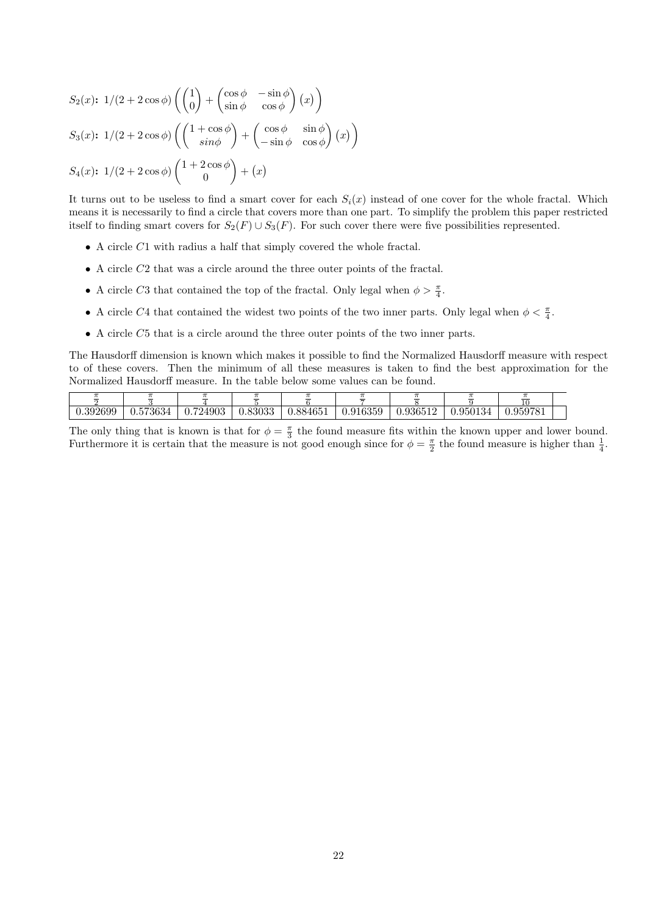$$
S_2(x): 1/(2+2\cos\phi) \left( \begin{pmatrix} 1 \\ 0 \end{pmatrix} + \begin{pmatrix} \cos\phi & -\sin\phi \\ \sin\phi & \cos\phi \end{pmatrix} (x) \right)
$$
  

$$
S_3(x): 1/(2+2\cos\phi) \left( \begin{pmatrix} 1+\cos\phi \\ \sin\phi \end{pmatrix} + \begin{pmatrix} \cos\phi & \sin\phi \\ -\sin\phi & \cos\phi \end{pmatrix} (x) \right)
$$
  

$$
S_4(x): 1/(2+2\cos\phi) \left( \begin{pmatrix} 1+2\cos\phi \\ 0 \end{pmatrix} + (x) \right)
$$

It turns out to be useless to find a smart cover for each  $S_i(x)$  instead of one cover for the whole fractal. Which means it is necessarily to find a circle that covers more than one part. To simplify the problem this paper restricted itself to finding smart covers for  $S_2(F) \cup S_3(F)$ . For such cover there were five possibilities represented.

- A circle C1 with radius a half that simply covered the whole fractal.
- A circle C2 that was a circle around the three outer points of the fractal.
- A circle C3 that contained the top of the fractal. Only legal when  $\phi > \frac{\pi}{4}$ .
- A circle C4 that contained the widest two points of the two inner parts. Only legal when  $\phi < \frac{\pi}{4}$ .
- A circle C5 that is a circle around the three outer points of the two inner parts.

The Hausdorff dimension is known which makes it possible to find the Normalized Hausdorff measure with respect to of these covers. Then the minimum of all these measures is taken to find the best approximation for the Normalized Hausdorff measure. In the table below some values can be found.

|          |                                 | _              | _       | $-$      |          | _        |                 |          |  |
|----------|---------------------------------|----------------|---------|----------|----------|----------|-----------------|----------|--|
| J.392699 | 573634<br>$\mathbf{r}$<br>1.U I | .724903<br>J.L | 0.83033 | 0.884651 | 0.916359 | 0.936512 | J.95013'<br>154 | 0.959781 |  |

The only thing that is known is that for  $\phi = \frac{\pi}{3}$  the found measure fits within the known upper and lower bound. Furthermore it is certain that the measure is not good enough since for  $\phi = \frac{\pi}{2}$  the found measure is higher than  $\frac{1}{4}$ .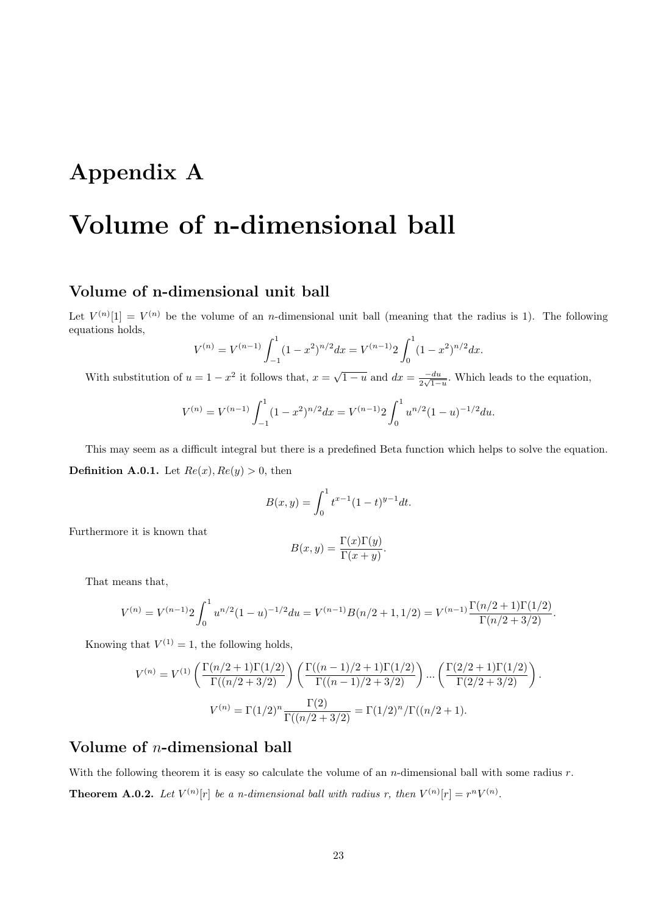## Appendix A

# Volume of n-dimensional ball

## Volume of n-dimensional unit ball

Let  $V^{(n)}[1] = V^{(n)}$  be the volume of an *n*-dimensional unit ball (meaning that the radius is 1). The following equations holds,

$$
V^{(n)} = V^{(n-1)} \int_{-1}^{1} (1 - x^2)^{n/2} dx = V^{(n-1)} 2 \int_{0}^{1} (1 - x^2)^{n/2} dx.
$$

With substitution of  $u = 1 - x^2$  it follows that,  $x = \sqrt{1 - u}$  and  $dx = \frac{-du}{2\sqrt{1 - u}}$  $\frac{-du}{2\sqrt{1-u}}$ . Which leads to the equation,

$$
V^{(n)} = V^{(n-1)} \int_{-1}^{1} (1 - x^2)^{n/2} dx = V^{(n-1)} 2 \int_{0}^{1} u^{n/2} (1 - u)^{-1/2} du.
$$

This may seem as a difficult integral but there is a predefined Beta function which helps to solve the equation. **Definition A.0.1.** Let  $Re(x)$ ,  $Re(y) > 0$ , then

$$
B(x, y) = \int_0^1 t^{x-1} (1-t)^{y-1} dt.
$$

Furthermore it is known that

$$
B(x,y) = \frac{\Gamma(x)\Gamma(y)}{\Gamma(x+y)}.
$$

That means that,

$$
V^{(n)} = V^{(n-1)}2 \int_0^1 u^{n/2} (1-u)^{-1/2} du = V^{(n-1)}B(n/2+1, 1/2) = V^{(n-1)} \frac{\Gamma(n/2+1)\Gamma(1/2)}{\Gamma(n/2+3/2)}.
$$

Knowing that  $V^{(1)} = 1$ , the following holds,

$$
V^{(n)} = V^{(1)} \left( \frac{\Gamma(n/2 + 1)\Gamma(1/2)}{\Gamma((n/2 + 3/2)} \right) \left( \frac{\Gamma((n - 1)/2 + 1)\Gamma(1/2)}{\Gamma((n - 1)/2 + 3/2)} \right) \dots \left( \frac{\Gamma(2/2 + 1)\Gamma(1/2)}{\Gamma(2/2 + 3/2)} \right).
$$

$$
V^{(n)} = \Gamma(1/2)^n \frac{\Gamma(2)}{\Gamma((n/2 + 3/2)} = \Gamma(1/2)^n / \Gamma((n/2 + 1).
$$

### Volume of n-dimensional ball

With the following theorem it is easy so calculate the volume of an *n*-dimensional ball with some radius  $r$ . **Theorem A.0.2.** Let  $V^{(n)}[r]$  be a n-dimensional ball with radius r, then  $V^{(n)}[r] = r^n V^{(n)}$ .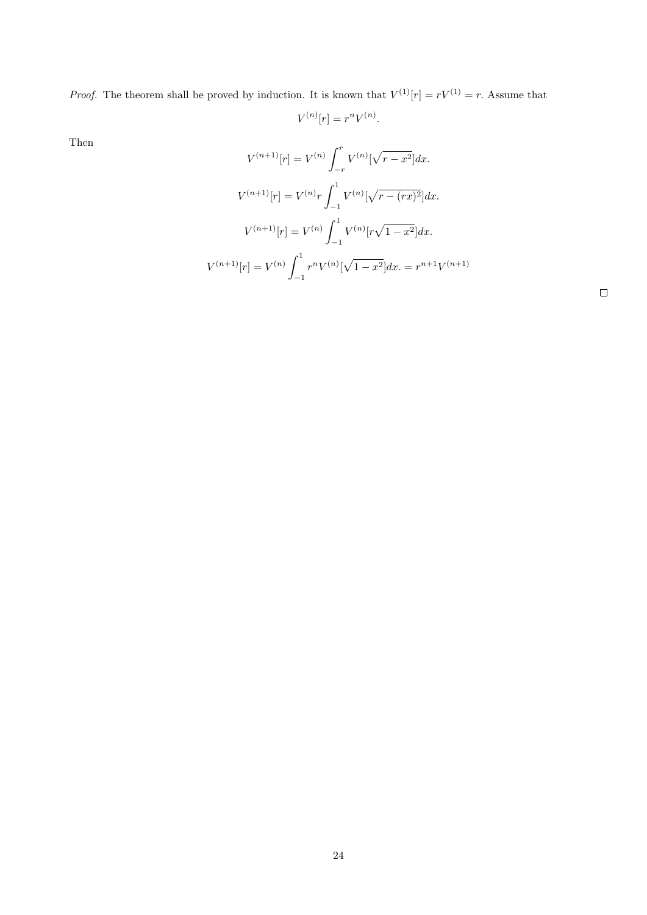*Proof.* The theorem shall be proved by induction. It is known that  $V^{(1)}[r] = rV^{(1)} = r$ . Assume that

$$
V^{(n)}[r] = r^n V^{(n)}.
$$

Then

$$
V^{(n+1)}[r] = V^{(n)} \int_{-r}^{r} V^{(n)}[\sqrt{r-x^2}] dx.
$$

$$
V^{(n+1)}[r] = V^{(n)}r \int_{-1}^{1} V^{(n)}[\sqrt{r-(rx)^2}] dx.
$$

$$
V^{(n+1)}[r] = V^{(n)} \int_{-1}^{1} V^{(n)}[r\sqrt{1-x^2}] dx.
$$

$$
V^{(n+1)}[r] = V^{(n)} \int_{-1}^{1} r^n V^{(n)}[\sqrt{1-x^2}] dx = r^{n+1}V^{(n+1)}
$$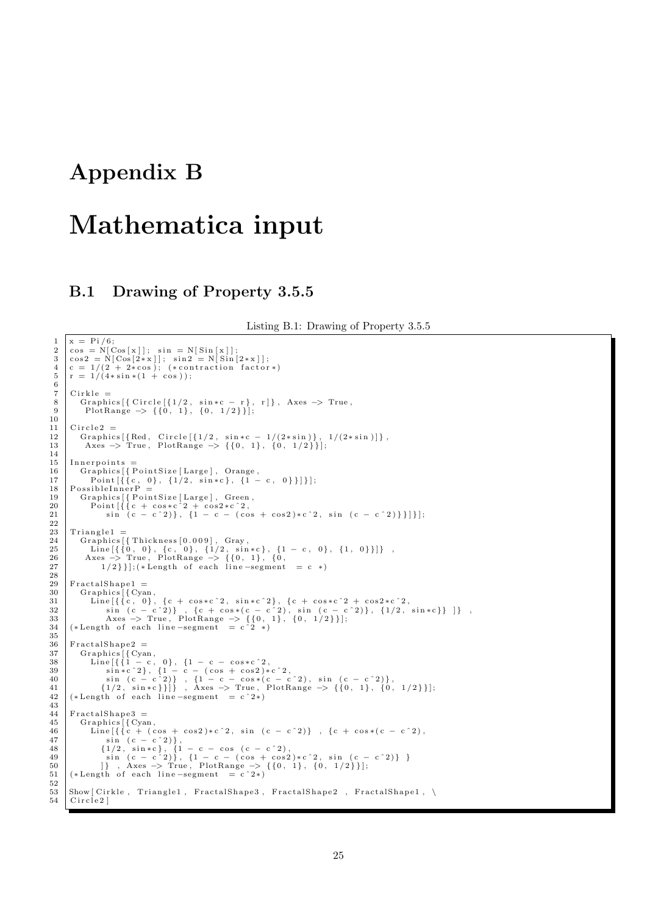## Appendix B

 $\frac{6}{7}$ 

10

 $\begin{array}{c} 14 \\ 15 \end{array}$ 

 $\frac{22}{23}$ 

 $28$ 

35

 $\begin{array}{c} 43 \\ 44 \end{array}$ 

 $\frac{52}{53}$ 

## Mathematica input

## B.1 Drawing of Property 3.5.5

Listing B.1: Drawing of Property 3.5.5

25

```
\begin{array}{c|c} 1 & x = \text{Pi}/6; \\ 2 & \cos = \text{N} \end{array}2 \cos = N[\cos[x]]; \sin = N[\sin[x]];<br>
\cos 2 = N[\cos[2*x]]; \sin 2 = N[\sin[2*x]];<br>
4 c = 1/(2 + 2*\cos); (*contraction factor*)<br>
5 r = 1/(4*\sin*(1 + \cos));
   \begin{array}{c|c} 7 & \text{Cirkle} \\ 8 & \text{Graph} \end{array}8 Graphics [{ Circle [{1/2, sin∗c − r}, r]}, Axes -> True, p = PlotRange -> {{0, 1}, {0, 1/2}}];
\begin{array}{c|c} 11 & \text{Circle 2} = \ \hline 12 & \text{Graphic} \end{array}12 Graphics [{Red, Circle [{1/2, sin∗c − 1/(2*sin)}, 1/(2*sin)]},<br>13 Axes -> True, PlotRange -> {{0, 1}, {0, 1/2}}];
\begin{array}{c|c} 15 & \text{Innerpoints} = \ \hline 16 & \text{Graphics} \backslash \end{array}16 Graphics[{PointSize[Large], Orange,<br>17 Point[{{c, 0}, {1/2, sin∗c}, {1 − c, 0}}]}];<br>18 PossibleInnerP =
 19 Graphics [{PointSize [Large], Green,<br>20 Point [{ { c + cos * c ^2 + cos 2 * c ^2, c ^2, sin ( c - c ^2) } } ] } ];
\begin{array}{c|c} 23 & \text{Triangle 1} = \\ 24 & \text{Graphics} \end{array}24 Graphics [{Thickness [0.009], Gray,<br>25 Line [{{0, 0}, {c, 0}, {1/2, sin*c}, {1 - c, 0}, {1, 0}}]},<br>26 Axes -> True, PlotRange -> {{0, 1}, {0,<br>27 1/2}}];(*Length of each line -segment = c *)
29 FractalShape1 =
 30 Graphics [{Cyan,<br>
Line [{{c, 0}, {c + cos *c^2, sin *c^2}, {c + cos *c^2 + cos2 *c^2,<br>
sin (c - c^2)}, {c + cos *(c - c^2), sin (c - c^2)}, {1/2, sin *c}} ]},<br>
Axes -> True, PlotRange -> {{0, 1}, {0, 1/2}}];<br>
34 (*Leng
\begin{array}{c|c} 36 & \text{FractalShape2} = \overline{37} & \text{Graphics [} & \text{Cya} \end{array}\begin{array}{c} \text{Graphics}\left[\,\left\{\text{Cyan}\,,\right.\right.\\ \text{38}\qquad \text{Line}\left[\,\left\{\,\left\{1\,-\,\text{c}\,,\ 0\,\right\}\,,\ \left\{1\,-\,\text{c}\,-\,\text{cos}\,\ast\,\text{c}\,\,{}^2\,\text{2}\,,\right.\right.\right.\\ \text{49}\qquad \qquad \text{sin}\,\ast\,\text{c}\,\,{}^2\,\text{)}\right\},\quad \left\{\,1\,-\,\text{c}\,-\,\text{cos}\,\ast\,\text{c}\,\,\text{c}\,\,\mathrm{c}\,\,{}^2\,\text{2}\,,\right.\\\begin{array}{c|c} 44 & \text{FractalShape3} = \end{array}<br>45 Graphics [{Cya
45 Graphics \begin{bmatrix} \text{Cyan} \\ \text{Line} \end{bmatrix} (Cyan,
 \begin{array}{ll} \text{Line}\left[\left\{\left\{c+\left(\cos+\cos 2\right)*c^{-2}, \sin\left(c-c^{-2}\right)\right\}\right.\right., \; \left\{c+\cos*(c-c^{-2})\right.\right. \\ \left.\left.\begin{array}{c} \sin\left(c-c^{-2}\right)\right\}, \; \sin\left(c-c^{-2}\right)\right], \; \sin\left(c-c^{-2}\right), \; \sin\left(c-c^{-2}\right), \; \sin\left(c-c^{-2}\right), \; \sin\left(c-c^{-2}\right)\right], \; \sin\left(c-c^{-2}\right), \; \sin\left(c-c^{-2}\right)\right], \; \sin\left(c-c^{-2}\right), \; \sin\left(c-c^{-251 (*Length of each line –segment = c 2*)53 Show [ Cirkle, Triangle1, FractalShape3, FractalShape2, FractalShape1, \setminus 54 Circle2 |
             Circle<sub>2</sub>]
```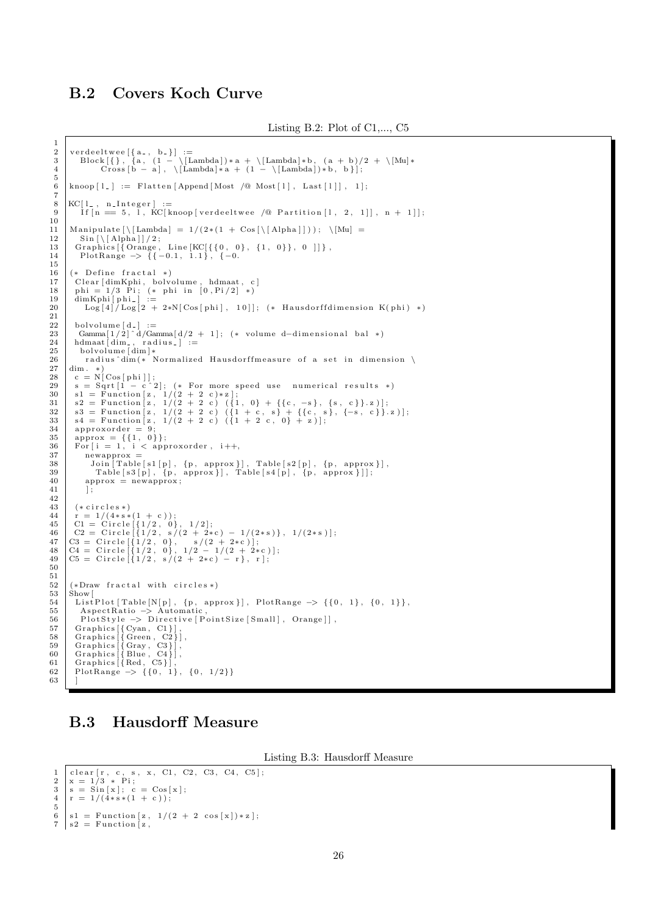## B.2 Covers Koch Curve

```
2 | verdeeltwee[{a_, b_}] :=<br>3 | Block[{}, {a, (1 - \[Lambda])*a + \[Lambda]*b, (a + b)/2 + \[Mu]*<br>4 | Cross[b - a], \[Lambda]*a + (1 - \[Lambda])*b, b}];
         k\text{hoop}[l_+] := \text{Flatten}[\text{Append}[\text{Most }/\text{@ Most}[l], \text{Last}[l]], 1];8 \begin{array}{c} \text{KC}[1_{-}, n_{-}Integer] := \text{5} \\ 9 \end{array}If [n = 5, I, KC[ knoop [verdeeltwee /@ Partition [1, 2, 1]], n + 1]];
11 | Manipulate [\ \langle \ [\text{Lambda}] = 1/(2*(1 + \text{Cos}[\ \langle \ [\text{Alpha}] \ ])) ; \ \ \langle \ [\text{Mu}] =12 | Sin [\[Alpha]]/2;<br>13 | Graphics [{Orange, Line [KC[{{0, 0}, {1, 0}}, 0 ]]},
14 P lotRange \rightarrow {{-0.1, 1.1}, {-0.\frac{16}{17} (* Define fractal *)<br>17 Clear [dim Kphi, boly
17 | Clear [dimKphi, bolvolume, hdmaat, c]<br>18 | phi = 1/3 Pi; (* phi in [0,Pi/2] *)<br>19 | dimKphi[phi_] :=
20 | \text{Log}\left[4\right]\right) \text{Log}\left[2 + 2*\text{N}[\text{Cos}[{\text{phi}}], 10]\right]; (* Hausdorffdimension K(phi) *)
22 | bolvolume[d_] :=<br>23 | Gamma[1/2]^d/Gamma[d/2 + 1]; (* volume d−dimensional bal *)<br>24 | hdmaat[dim_, radius_] :=
\begin{array}{c|c}\n25 \\
26 \\
\hline\n\end{array} bolvolume \begin{array}{c}\n\text{dim}^3* \\
\text{radius }^3\text{dim}(*\n\end{array}26 radius \dim (* \nNormalized Hausdorff measure of a set in dimension)<br>27 dim. *)
\begin{array}{c|c} 27 \\ 28 \end{array} dim . *)
28 c = N[Cos[phi]];<br>
29 s = Sqrt[1 - c^2]; (* For more speed use numerical results *)<br>
31 s = Function [z, 1/(2 + 2 c)*z];<br>
32 = Function [z, 1/(2 + 2 c) ({1, 0} + {{c, -s}, {s, c}}.z)];<br>
32 = Sqrt[2 x, 1/(2 + 2 c) ({1 + 
34 | approxorder = 9;<br>
35 | approx = {{1, 0}};<br>
36 | For[i = 1, i < approxorder, i++,
37 | newapprox =<br>38 | Join [Table [s1 [p], {p, approx}], Table [s2 [p], {p, approx}],<br>39 | Table [s3 [p], {p, approx}], Table [s4 [p], {p, approx}]];
40 approx = newapprox;
41 ] ;
43 (* circles *)<br>44 r = 1/(4*s*)44 \quad r = 1/(4*s*(1 + c));<br>
45 \quad C1 = Circle [{1/2, 0}]45 C1 = Circle [\{1/2, 0\}, 1/2];<br>
46 C2 = Circle [\{1/2, s/(2+2*c) - 1/(2*s)\}, 1/(2*s)];<br>
47 C3 = Circle [\{1/2, 0\}, s/(2+2*c)];<br>
48 C4 = Circle [\{1/2, 0\}, 1/2 - 1/(2+2*c)];<br>
49 C5 = Circle [\{1/2, s/(2+2*c) - r\}, r];
52 \left( *Draw fractal with circles *)<br>53 \left( Show \left[53 Show[<br>54 ListPlot[Table[N[p], {p, approx}], PlotRange −> {{0, 1}, {0, 1}},<br>55 AspectRatio −> Automatic,
56 PlotStyle → Directive [PointSize [Small], Orange]],<br>57 Graphics [{Cyan, C1}].
\begin{array}{c|c} 57 & \text{Graphics} [\text{Cyan, C1}] \\ 58 & \text{Graphics} [\text{Green, C2}] \end{array}58 Graphics [{ Green , C2 }] ,<br>
59 Graphics [{ Gray , C3 } ] ,<br>
60 Graphics [{ Red , C5 } ] ,<br>
62 Graphics [{ Red , C5 } ] ,<br>
62 PlotRange -> {{0, 1}, {0, 1/2}}
```
## B.3 Hausdorff Measure

Listing B.3: Hausdorff Measure

```
1 clear [r, c, s, x, C1, C2, C3, C4, C5];<br>2 x = 1/3 * Pi;<br>3 s = Sin[x]; c = Cos[x];
4 r = 1/(4*s*(1 + c));5
6 \vert s1 = \text{Function} [z, 1/(2 + 2 \cos[x]) * z];7 \mid s2 = Function z,
```
63

 $\frac{1}{2}$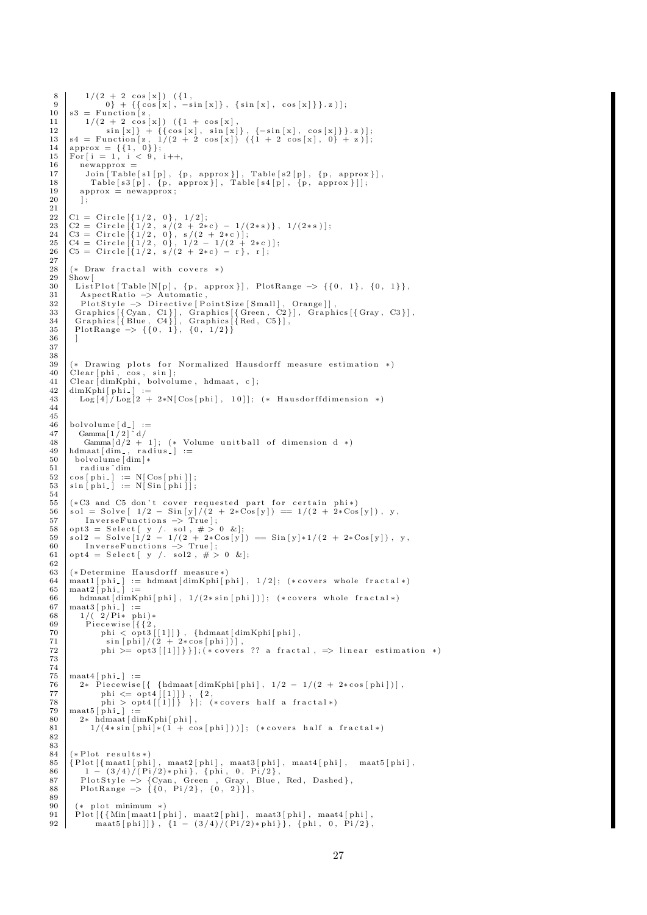```
8 1 / ( 2 + 2 c o s [ x ] ) ({1 ,
9 0} + {{ c o s [ x ] , −s i n [ x ] } , { s i n [ x ] , c o s [ x ] } } . z ) ] ;
\begin{bmatrix} 0 \\ 10 \\ 11 \end{bmatrix} s 3 = Function \begin{bmatrix} z \\ z \\ 1 \end{bmatrix},
 11 \begin{cases} 1/(2 + 2 \cos \{x\}) & (\{1 + \cos \{x\}, \\ \sin \{x\}\} + \{\{\cos \{x\}, \sin \{x\}\}, \{-\sin \{x\}, \cos \{x\}\}\}.z)\}\;; \\ 13 \text{ s4 = Function}[z, 1/(2 + 2 \cos \{x\}) & (\{1 + 2 \cos \{x\}, 0\} + z)\}\;; \\ 14 \text{ approx} = \{\{1, 0\}\}; \\ 15 \text{ For } \{i = 1, i < 9, i++)\}. \end{cases}\begin{array}{c|c} 16 & \text{newapprox} = \\ 17 & \text{Join} \space \end{array}17 Join \begin{bmatrix} \text{Table} \text{[s1[p]}, \text{ {p, approx}} \text{], } \text{Table} \text{[s2[p]}, \text{ {p, approx}} \text{]} \end{bmatrix}, 18 Table \begin{bmatrix} \text{s3[p]}, \text{ {p, approx}} \text{], } \text{Table} \text{[s4[p]}, \text{ {p, approx}} \text{]} \end{bmatrix}18 Table [s3[p], \{p, \text{ approx}\}]\, Table [s4[p], \{p, \text{ approx}\}]\;<br>19 approx = newapprox;
                   approx = newapprox;
20\frac{21}{22}22 \begin{bmatrix} C1 = \text{Circle}\{1/2, 0\}, 1/2\};\\ C2 = \text{Circle}\{1/2, s/(2 + 2*c) - 1/(2*s)\}, 1/(2*s)\};\\ 24 \quad \text{C3} = \text{Circle}\{1/2, 0\}, s/(2 + 2*c)\};\\ 25 \quad \text{C4} = \text{Circle}\{1/2, 0\}, 1/2 - 1/(2 + 2*c)\};\\ 26 \quad \text{C5} = \text{Circle}\{1/2, s/(2 + 2*c) - r\}, r]; \end{bmatrix}\frac{27}{28}\frac{28}{29} (* Draw fractal with covers *)
\begin{array}{c|c} 29 & \text{Show} & \text{List} \\ 30 & \text{List} \end{array}\begin{tabular}{ll} 30 & ListPlot[\{Table[N[p], \{p, approx\}], \; PlotRange \; \rightarrow \; \{\{0, 1\}, \; \{0, 1\}\}, \; \\ 31 & AspectRatio \; \rightarrow \; Automatic\,, \; \\ 32 & PlotStyle \; \rightarrow \; Directive[\, PointSize[\,Small]\, , \; Orange\, ] \;, \; \\ 33 & Graphics[\,Gvan, \;C1\, ] \}, \; Graphics[\,Green, \;C2\, ] \,, \; Graphics[\,Gray, \;C3\, ] \,, \; \\ 34 & Graphics[\,Blue, \;C4\, ] \,, \; Graphics[\,Red, \;C5\, ] \,, \; \\ 35 & PlotRange \; \rightarrow36
37
38
39 (* Drawing plots for Normalized Hausdorff measure estimation *) 40 Clear [phi. cos. sin]:
 40 | Clear[phi, cos, sin];<br>41 | Clear[dimKphi, bolvolume, hdmaat, c];<br>42 | dimKphi[phi_] :=
\frac{1}{43} Log[4]/Log[2 + 2*N[Cos[phi], 10]]; (* Hausdorffdimension *)
44
45
 46 \mid \text{bolvolume} \left[ \frac{\text{d}}{\text{d}} \right] := 47 \mid \text{Gamma} \left[ \frac{1}{2} \right] \hat{\text{d}}/48 Gamma [d/2 + 1]; (* Volume unitball of dimension d *)<br>49 | hdmaat [dim_, radius_] :=
\begin{array}{c|c} 49 & \text{hdmaat} \text{[dim]}_{\bullet} , \text{ rad} \\ 50 & \text{bolvolume} \text{[dim]}_{\bullet} \end{array}51 radius^dim<br>52 cos[phi_] := N[Cos[phi]];<br>53 sin[phi_] := N[Sin[phi]];
54
55 (*C3 and C5 don't cover requested part for certain phi*) 56 \text{ sol} = \text{Solve} \left[ 1/2 - \text{Sin}[y]/(2 + 2*\text{Cos}[y]) \right] = 1/(2 + 2*\text{Cos}(\text{S})56 \begin{bmatrix} 56 \\ 1/2 - 5 \text{sin} [y]/(2 + 2 * \text{Cos} [y]) \end{bmatrix} = 1/(2 + 2 * \text{Cos} [y]), y, \begin{bmatrix} 57 \\ 1 \end{bmatrix}57 InverseFunctions -> True];<br>
58 opt3 = Select [ y /. sol, # > 0 &];<br>
59 sol2 = Solve [1/2 - 1/(2 + 2 & Cos[y]) == Sin[y]*1/(2 + 2*Cos[y]), y,<br>
60 InverseFunctions -> True];<br>
61 opt4 = Select [ y /. sol2, # > 0 &];
62
63 (*Determine Hausdorff measure*)
64 maatl[phi] := hdmaat[dimKphi[phi], 1/2]; (*covers whole fractal*)<br>65 maat2[phi] :=
\begin{array}{c|c} 65 & \text{maat2} & \text{phi} \\ 66 & \text{hdmaat} & \text{d} \end{array}66 hdmaat \left[\begin{array}{c} \text{dimKphi} \\ \text{final} \end{array} \right], 1/(2*sin[phi]); (*covers whole fractal *)
\begin{array}{c|c} 67 & \text{max3 [ phi.]} & \text{:=} \\ 68 & 1/(\frac{2}{Pi} * \text{ ph}) \end{array}68 | 1/( 2/ Pi∗ phi)∗<br>69 | Piecewise[{{2,
 70 phi < opt3 [[1]]}, {hdmaat[dimKphi[phi],<br>71 sin[phi]/(2 + 2∗cos[phi])],<br>72 phi >= opt3 [[1]]}}];(*covers ?? a fractal, => linear estimation *)
73
\frac{74}{75}75 maat4 [phi_] :=<br>76 Piecewise
 76 2* Piecewise[{{hdmaat[dimKphi[phi], 1/2 - 1/(2 + 2*cos[phi])],<br>77 phi <= opt4[[1]]}, {2,<br>78 phi > opt4[[1]]}}}]; (*covers half a fractal*)
\begin{array}{c} 79 \\ 80 \end{array} maat5 [phi_] :=
\begin{array}{c|c} 80 & 2*{\text{ \texttt{h}d} \texttt{maat} [\text{dimKphi}[\text{phi}],$} \\ 81 & 1/(4* \sin[\text{phi}]+(1+\cos[\text{cos}]) \end{array}1/(4*sin [phi] * (1 + cos[phi])); (*covers half a fractal*)
8283
\begin{array}{c|c} 84 & (* Plot results*) \\ 85 & {Plot[{ \text{} m \text{a} at 1} [ \text{h} \text{h} ]} \end{array}\begin{array}{ll} \text{85} & \left\{ \text{Plot}\left[\left\{ \text{maat1}\left[\text{phi}\right],\ \text{maat2}\left[\text{phi}\right],\ \text{maat3}\left[\text{phi}\right],\ \text{maat4}\left[\text{phi}\right],\ \text{maat5}\left[\text{phi}\right], \right.\right.\\ \text{86} & 1 - (3/4)/(F)/2)*\text{phi}, \left\{ \text{phi},\ \text{O},\ \text{Pi}/2 \right\},\\ \text{87} & \text{Plotstyle} \rightarrow \left\{ \text{Cyan},\ \text{Green},\ \text{Gray},\ \text{Blue},\ \text{Red},\ \text{D\frac{89}{90}\begin{array}{c|c} 90 & (* \text{plot minimum } * ) \\ 91 & \text{Plot} \{ \{ \{ \text{Min} \} \text{m} \} \end{array}91 Plot [\{\{\text{Min}[\text{mant1}[ \text{phi}], \text{ maat2}[ \text{phi}], \text{ maat3}[ \text{phi}], \text{ gahi}\}, \{\text{phi}], \text{phi}\}], maat5 [phi] }, \{1 - (3/4)/(P_1/2) * \text{phi}\}, {phi, 0, Pi/2},
                            \text{max5} [\text{phi}]]}, \{1 - (3/4)/(\text{Pi}/2) * \text{phi}\}\,, \{\text{phi}, 0, \text{Pi}/2\},
```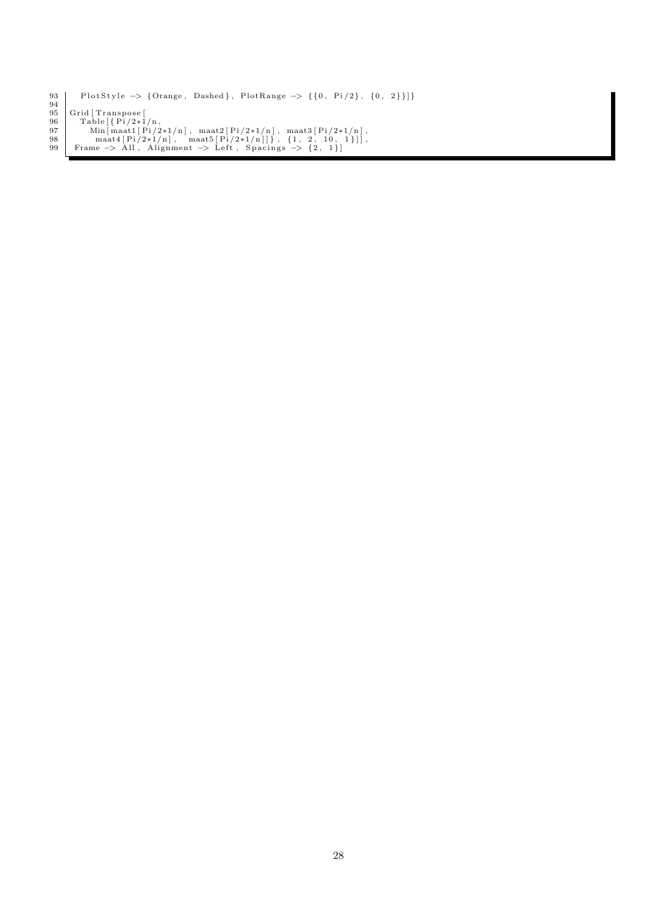```
PlotStyle -> {Orange, Dashed}, PlotRange -> {{0, Pi/2}, {0, 2}}]}
\begin{array}{c} 93 \\ 94 \\ 95 \end{array}95 Grid [Transpose [<br>
Table [{Pi/2*1/n],<br>
97 Min [maat1 [Pi/2*1/n], maat2 [Pi/2*1/n], maat3 [Pi/2*1/n],<br>
98 maat4 [Pi/2*1/n], maat5 [Pi/2*1/n]]}, {1, 2, 10, 1}]],<br>
99 Frame -> All, Alignment -> Left, Spacings -> {2, 1}]
```